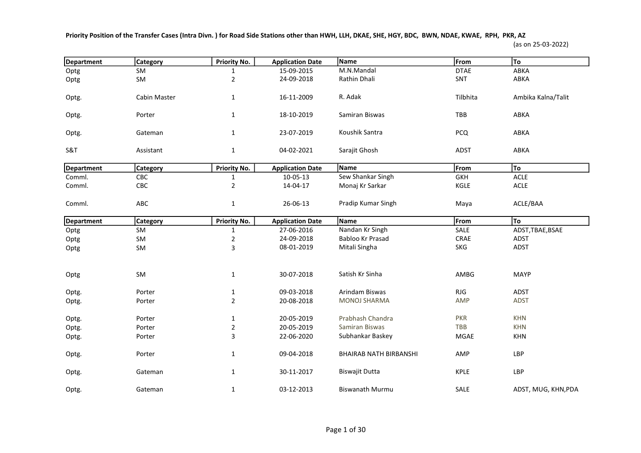Priority Position of the Transfer Cases (Intra Divn. ) for Road Side Stations other than HWH, LLH, DKAE, SHE, HGY, BDC, BWN, NDAE, KWAE, RPH, PKR, AZ

## (as on 25-03-2022)

| Department        | Category        | Priority No.   | <b>Application Date</b> | Name                          | From        | To                  |
|-------------------|-----------------|----------------|-------------------------|-------------------------------|-------------|---------------------|
| Optg              | <b>SM</b>       | 1              | 15-09-2015              | M.N.Mandal                    | <b>DTAE</b> | ABKA                |
| Optg              | SM              | $\overline{2}$ | 24-09-2018              | Rathin Dhali                  | SNT         | ABKA                |
| Optg.             | Cabin Master    | $\mathbf{1}$   | 16-11-2009              | R. Adak                       | Tilbhita    | Ambika Kalna/Talit  |
| Optg.             | Porter          | $\mathbf{1}$   | 18-10-2019              | Samiran Biswas                | TBB         | ABKA                |
| Optg.             | Gateman         | $\mathbf{1}$   | 23-07-2019              | Koushik Santra                | <b>PCQ</b>  | ABKA                |
| S&T               | Assistant       | $\mathbf{1}$   | 04-02-2021              | Sarajit Ghosh                 | <b>ADST</b> | ABKA                |
| <b>Department</b> | <b>Category</b> | Priority No.   | <b>Application Date</b> | Name                          | From        | To                  |
| Comml.            | CBC             | $\mathbf{1}$   | 10-05-13                | Sew Shankar Singh             | <b>GKH</b>  | <b>ACLE</b>         |
| Comml.            | CBC             | $\overline{2}$ | 14-04-17                | Monaj Kr Sarkar               | KGLE        | ACLE                |
| Comml.            | ABC             | $\mathbf{1}$   | 26-06-13                | Pradip Kumar Singh            | Maya        | ACLE/BAA            |
| <b>Department</b> | <b>Category</b> | Priority No.   | <b>Application Date</b> | Name                          | From        | To                  |
| Optg              | SM              | $\mathbf 1$    | 27-06-2016              | Nandan Kr Singh               | SALE        | ADST, TBAE, BSAE    |
| Optg              | SM              | $\overline{2}$ | 24-09-2018              | Babloo Kr Prasad              | CRAE        | ADST                |
| Optg              | SM              | 3              | 08-01-2019              | Mitali Singha                 | <b>SKG</b>  | ADST                |
| Optg              | SM              | $\mathbf{1}$   | 30-07-2018              | Satish Kr Sinha               | AMBG        | <b>MAYP</b>         |
| Optg.             | Porter          | $\mathbf{1}$   | 09-03-2018              | Arindam Biswas                | RJG         | ADST                |
| Optg.             | Porter          | $\overline{2}$ | 20-08-2018              | <b>MONOJ SHARMA</b>           | <b>AMP</b>  | <b>ADST</b>         |
| Optg.             | Porter          | $\mathbf{1}$   | 20-05-2019              | Prabhash Chandra              | <b>PKR</b>  | <b>KHN</b>          |
| Optg.             | Porter          | $\overline{2}$ | 20-05-2019              | Samiran Biswas                | <b>TBB</b>  | <b>KHN</b>          |
| Optg.             | Porter          | 3              | 22-06-2020              | Subhankar Baskey              | MGAE        | <b>KHN</b>          |
| Optg.             | Porter          | $\mathbf{1}$   | 09-04-2018              | <b>BHAIRAB NATH BIRBANSHI</b> | AMP         | LBP                 |
| Optg.             | Gateman         | $\mathbf{1}$   | 30-11-2017              | <b>Biswajit Dutta</b>         | <b>KPLE</b> | LBP                 |
| Optg.             | Gateman         | $\mathbf{1}$   | 03-12-2013              | <b>Biswanath Murmu</b>        | SALE        | ADST, MUG, KHN, PDA |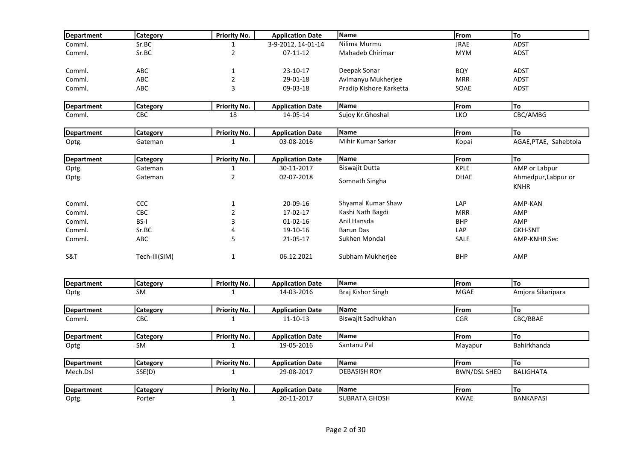| Department        | <b>Category</b>              | <b>Priority No.</b>                 | <b>Application Date</b>               | Name                    | From                | To                                 |
|-------------------|------------------------------|-------------------------------------|---------------------------------------|-------------------------|---------------------|------------------------------------|
| Comml.            | Sr.BC                        | 1                                   | 3-9-2012, 14-01-14                    | Nilima Murmu            | <b>JRAE</b>         | ADST                               |
| Comml.            | Sr.BC                        | $\overline{2}$                      | $07-11-12$                            | Mahadeb Chirimar        | <b>MYM</b>          | <b>ADST</b>                        |
| Comml.            | ABC                          | $\mathbf{1}$                        | 23-10-17                              | Deepak Sonar            | <b>BQY</b>          | <b>ADST</b>                        |
| Comml.            | ABC                          | $\overline{2}$                      | 29-01-18                              | Avimanyu Mukherjee      | <b>MRR</b>          | ADST                               |
| Comml.            | <b>ABC</b>                   | $\mathsf 3$                         | 09-03-18                              | Pradip Kishore Karketta | SOAE                | ADST                               |
| <b>Department</b> | <b>Category</b>              | <b>Priority No.</b>                 | <b>Application Date</b>               | Name                    | From                | To                                 |
| Comml.            | CBC                          | 18                                  | 14-05-14                              | Sujoy Kr.Ghoshal        | LKO                 | CBC/AMBG                           |
| Department        | <b>Category</b>              | <b>Priority No.</b>                 | <b>Application Date</b>               | Name                    | From                | To                                 |
| Optg.             | Gateman                      | $\mathbf{1}$                        | 03-08-2016                            | Mihir Kumar Sarkar      | Kopai               | AGAE, PTAE, Sahebtola              |
| Department        | <b>Category</b>              | <b>Priority No.</b>                 | <b>Application Date</b>               | Name                    | From                | To                                 |
| Optg.             | Gateman                      | $\mathbf{1}$                        | 30-11-2017                            | <b>Biswajit Dutta</b>   | <b>KPLE</b>         | AMP or Labpur                      |
| Optg.             | Gateman                      | $\overline{2}$                      | 02-07-2018                            | Somnath Singha          | <b>DHAE</b>         | Ahmedpur, Labpur or<br><b>KNHR</b> |
| Comml.            | ccc                          | $\mathbf{1}$                        | 20-09-16                              | Shyamal Kumar Shaw      | LAP                 | AMP-KAN                            |
| Comml.            | CBC                          | $\mathbf 2$                         | 17-02-17                              | Kashi Nath Bagdi        | <b>MRR</b>          | AMP                                |
| Comml.            | <b>BS-I</b>                  | 3                                   | $01 - 02 - 16$                        | Anil Hansda             | <b>BHP</b>          | AMP                                |
| Comml.            | Sr.BC                        | 4                                   | 19-10-16                              | <b>Barun Das</b>        | LAP                 | <b>GKH-SNT</b>                     |
| Comml.            | ABC                          | 5                                   | 21-05-17                              | Sukhen Mondal           | <b>SALE</b>         | <b>AMP-KNHR Sec</b>                |
| <b>S&amp;T</b>    | Tech-III(SIM)                | $\mathbf{1}$                        | 06.12.2021                            | Subham Mukherjee        | <b>BHP</b>          | AMP                                |
|                   |                              |                                     |                                       | Name                    |                     | To                                 |
| <b>Department</b> | <b>Category</b><br><b>SM</b> | <b>Priority No.</b><br>$\mathbf{1}$ | <b>Application Date</b><br>14-03-2016 | Braj Kishor Singh       | From<br><b>MGAE</b> | Amjora Sikaripara                  |
| Optg              |                              |                                     |                                       |                         |                     |                                    |
| Department        | <b>Category</b>              | <b>Priority No.</b>                 | <b>Application Date</b>               | Name                    | From                | To                                 |
| Comml.            | <b>CBC</b>                   | $\mathbf{1}$                        | 11-10-13                              | Biswajit Sadhukhan      | <b>CGR</b>          | CBC/BBAE                           |
| <b>Department</b> | <b>Category</b>              | <b>Priority No.</b>                 | <b>Application Date</b>               | Name                    | From                | lто                                |
| Optg              | <b>SM</b>                    | $\mathbf{1}$                        | 19-05-2016                            | Santanu Pal             | Mayapur             | Bahirkhanda                        |
| Department        | <b>Category</b>              | <b>Priority No.</b>                 | <b>Application Date</b>               | Name                    | From                | To                                 |
| Mech.Dsl          | SSE(D)                       | $\mathbf{1}$                        | 29-08-2017                            | <b>DEBASISH ROY</b>     | <b>BWN/DSL SHED</b> | <b>BALIGHATA</b>                   |
| <b>Department</b> | Category                     | <b>Priority No.</b>                 | <b>Application Date</b>               | Name                    | From                | To                                 |
| Optg.             | Porter                       | $\mathbf{1}$                        | 20-11-2017                            | <b>SUBRATA GHOSH</b>    | <b>KWAE</b>         | <b>BANKAPASI</b>                   |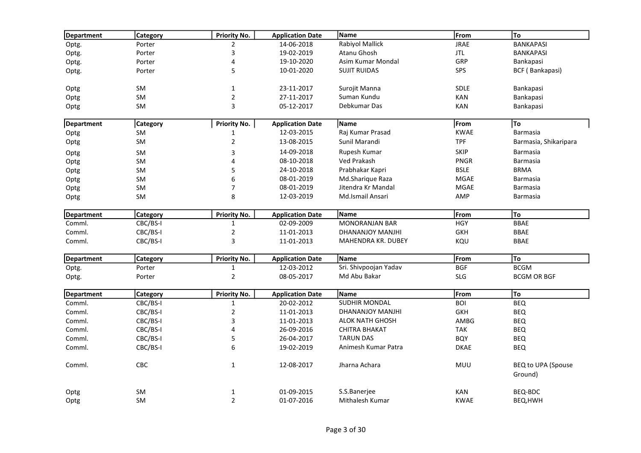| Department        | <b>Category</b> | <b>Priority No.</b> | <b>Application Date</b> | Name                   | From        | To                            |
|-------------------|-----------------|---------------------|-------------------------|------------------------|-------------|-------------------------------|
| Optg.             | Porter          | $\overline{2}$      | 14-06-2018              | Rabiyol Mallick        | <b>JRAE</b> | <b>BANKAPASI</b>              |
| Optg.             | Porter          | 3                   | 19-02-2019              | Atanu Ghosh            | <b>JTL</b>  | <b>BANKAPASI</b>              |
| Optg.             | Porter          | 4                   | 19-10-2020              | Asim Kumar Mondal      | GRP         | Bankapasi                     |
| Optg.             | Porter          | 5                   | 10-01-2020              | <b>SUJIT RUIDAS</b>    | <b>SPS</b>  | BCF (Bankapasi)               |
| Optg              | SM              | $\mathbf{1}$        | 23-11-2017              | Surojit Manna          | <b>SDLE</b> | Bankapasi                     |
| Optg              | SM              | $\sqrt{2}$          | 27-11-2017              | Suman Kundu            | <b>KAN</b>  | Bankapasi                     |
| Optg              | <b>SM</b>       | 3                   | 05-12-2017              | Debkumar Das           | <b>KAN</b>  | Bankapasi                     |
| Department        | Category        | <b>Priority No.</b> | <b>Application Date</b> | Name                   | From        | To                            |
| Optg              | <b>SM</b>       | 1                   | 12-03-2015              | Raj Kumar Prasad       | <b>KWAE</b> | <b>Barmasia</b>               |
| Optg              | <b>SM</b>       | $\overline{2}$      | 13-08-2015              | Sunil Marandi          | <b>TPF</b>  | Barmasia, Shikaripara         |
| Optg              | SM              | 3                   | 14-09-2018              | Rupesh Kumar           | <b>SKIP</b> | <b>Barmasia</b>               |
| Optg              | SM              | 4                   | 08-10-2018              | Ved Prakash            | <b>PNGR</b> | <b>Barmasia</b>               |
| Optg              | SM              | 5                   | 24-10-2018              | Prabhakar Kapri        | <b>BSLE</b> | <b>BRMA</b>                   |
| Optg              | SM              | 6                   | 08-01-2019              | Md.Sharique Raza       | <b>MGAE</b> | <b>Barmasia</b>               |
| Optg              | SM              | $\overline{7}$      | 08-01-2019              | Jitendra Kr Mandal     | MGAE        | <b>Barmasia</b>               |
| Optg              | <b>SM</b>       | 8                   | 12-03-2019              | Md.Ismail Ansari       | AMP         | Barmasia                      |
| Department        | <b>Category</b> | <b>Priority No.</b> | <b>Application Date</b> | Name                   | From        | To                            |
| Comml.            | CBC/BS-I        | $\mathbf 1$         | 02-09-2009              | <b>MONORANJAN BAR</b>  | <b>HGY</b>  | <b>BBAE</b>                   |
| Comml.            | CBC/BS-I        | $\sqrt{2}$          | 11-01-2013              | DHANANJOY MANJHI       | <b>GKH</b>  | <b>BBAE</b>                   |
| Comml.            | CBC/BS-I        | $\mathsf 3$         | 11-01-2013              | MAHENDRA KR. DUBEY     | KQU         | <b>BBAE</b>                   |
| <b>Department</b> | <b>Category</b> | <b>Priority No.</b> | <b>Application Date</b> | Name                   | From        | To                            |
| Optg.             | Porter          | $\mathbf{1}$        | 12-03-2012              | Sri. Shivpoojan Yadav  | <b>BGF</b>  | <b>BCGM</b>                   |
| Optg.             | Porter          | $\sqrt{2}$          | 08-05-2017              | Md Abu Bakar           | <b>SLG</b>  | <b>BCGM OR BGF</b>            |
| <b>Department</b> | <b>Category</b> | <b>Priority No.</b> | <b>Application Date</b> | Name                   | From        | To                            |
| Comml.            | CBC/BS-I        | $\mathbf{1}$        | 20-02-2012              | <b>SUDHIR MONDAL</b>   | <b>BOI</b>  | <b>BEQ</b>                    |
| Comml.            | CBC/BS-I        | $\sqrt{2}$          | 11-01-2013              | DHANANJOY MANJHI       | <b>GKH</b>  | <b>BEQ</b>                    |
| Comml.            | CBC/BS-I        | 3                   | 11-01-2013              | <b>ALOK NATH GHOSH</b> | AMBG        | <b>BEQ</b>                    |
| Comml.            | CBC/BS-I        | 4                   | 26-09-2016              | <b>CHITRA BHAKAT</b>   | <b>TAK</b>  | <b>BEQ</b>                    |
| Comml.            | CBC/BS-I        | 5                   | 26-04-2017              | <b>TARUN DAS</b>       | <b>BQY</b>  | <b>BEQ</b>                    |
| Comml.            | CBC/BS-I        | 6                   | 19-02-2019              | Animesh Kumar Patra    | <b>DKAE</b> | <b>BEQ</b>                    |
| Comml.            | CBC             | $\mathbf{1}$        | 12-08-2017              | Jharna Achara          | MUU         | BEQ to UPA (Spouse<br>Ground) |
| Optg              | SM              | $\mathbf 1$         | 01-09-2015              | S.S.Banerjee           | <b>KAN</b>  | <b>BEQ-BDC</b>                |
| Optg              | SM              | $\overline{2}$      | 01-07-2016              | <b>Mithalesh Kumar</b> | <b>KWAE</b> | BEQ, HWH                      |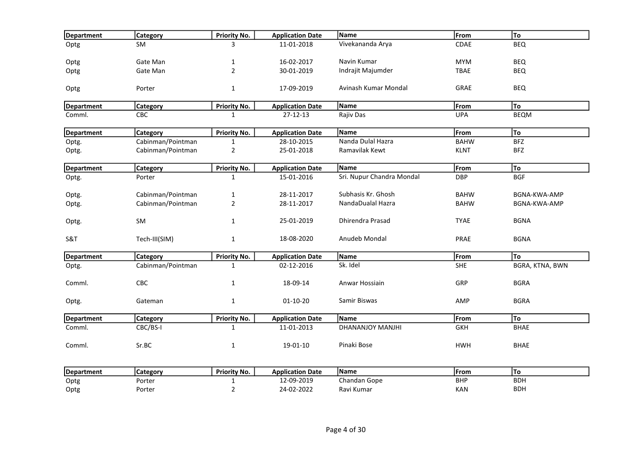| Department        | Category          | <b>Priority No.</b> | <b>Application Date</b> | Name                      | From        | To              |
|-------------------|-------------------|---------------------|-------------------------|---------------------------|-------------|-----------------|
| Optg              | <b>SM</b>         | 3                   | 11-01-2018              | Vivekananda Arya          | CDAE        | <b>BEQ</b>      |
|                   |                   |                     |                         |                           |             |                 |
| Optg              | Gate Man          | 1                   | 16-02-2017              | Navin Kumar               | <b>MYM</b>  | <b>BEQ</b>      |
| Optg              | Gate Man          | $\overline{2}$      | 30-01-2019              | Indrajit Majumder         | <b>TBAE</b> | <b>BEQ</b>      |
| Optg              | Porter            | $\mathbf{1}$        | 17-09-2019              | Avinash Kumar Mondal      | <b>GRAE</b> | <b>BEQ</b>      |
| Department        | <b>Category</b>   | Priority No.        | <b>Application Date</b> | Name                      | From        | To              |
| Comml.            | <b>CBC</b>        | 1                   | 27-12-13                | Rajiv Das                 | <b>UPA</b>  | <b>BEQM</b>     |
| Department        | <b>Category</b>   | <b>Priority No.</b> | <b>Application Date</b> | Name                      | From        | To              |
| Optg.             | Cabinman/Pointman | 1                   | 28-10-2015              | Nanda Dulal Hazra         | <b>BAHW</b> | <b>BFZ</b>      |
| Optg.             | Cabinman/Pointman | $\overline{2}$      | 25-01-2018              | Ramavilak Kewt            | <b>KLNT</b> | <b>BFZ</b>      |
| Department        | <b>Category</b>   | <b>Priority No.</b> | <b>Application Date</b> | Name                      | From        | To              |
| Optg.             | Porter            | $\mathbf{1}$        | 15-01-2016              | Sri. Nupur Chandra Mondal | <b>DBP</b>  | <b>BGF</b>      |
|                   |                   |                     |                         |                           |             |                 |
| Optg.             | Cabinman/Pointman | $\mathbf{1}$        | 28-11-2017              | Subhasis Kr. Ghosh        | <b>BAHW</b> | BGNA-KWA-AMP    |
| Optg.             | Cabinman/Pointman | $\overline{2}$      | 28-11-2017              | NandaDualal Hazra         | <b>BAHW</b> | BGNA-KWA-AMP    |
| Optg.             | SM                | 1                   | 25-01-2019              | <b>Dhirendra Prasad</b>   | <b>TYAE</b> | <b>BGNA</b>     |
| S&T               | Tech-III(SIM)     | $\mathbf{1}$        | 18-08-2020              | Anudeb Mondal             | PRAE        | <b>BGNA</b>     |
| <b>Department</b> | <b>Category</b>   | <b>Priority No.</b> | <b>Application Date</b> | Name                      | From        | To              |
| Optg.             | Cabinman/Pointman | $\mathbf{1}$        | 02-12-2016              | Sk. Idel                  | <b>SHE</b>  | BGRA, KTNA, BWN |
| Comml.            | CBC               | 1                   | 18-09-14                | Anwar Hossiain            | GRP         | <b>BGRA</b>     |
| Optg.             | Gateman           | $\mathbf{1}$        | $01-10-20$              | Samir Biswas              | AMP         | <b>BGRA</b>     |
| Department        | Category          | <b>Priority No.</b> | <b>Application Date</b> | <b>Name</b>               | From        | To              |
| Comml.            | CBC/BS-I          | $\mathbf{1}$        | 11-01-2013              | DHANANJOY MANJHI          | GKH         | <b>BHAE</b>     |
| Comml.            | Sr.BC             | $\mathbf{1}$        | 19-01-10                | Pinaki Bose               | <b>HWH</b>  | <b>BHAE</b>     |
|                   |                   |                     |                         |                           |             |                 |

| Depa<br>tment |        | Priority No. | <b>Application Date</b> | <b>IName</b>     | From       | 10         |
|---------------|--------|--------------|-------------------------|------------------|------------|------------|
| Optg          | Porter |              | ∩ ∩<br>-2019<br>. .     | ា andan Gope     | <b>BHP</b> | <b>BDH</b> |
| Optg          | Porter |              | 2-202،<br>. п. н.       | .<br>Kumar<br>Ка | KAN        | <b>BDH</b> |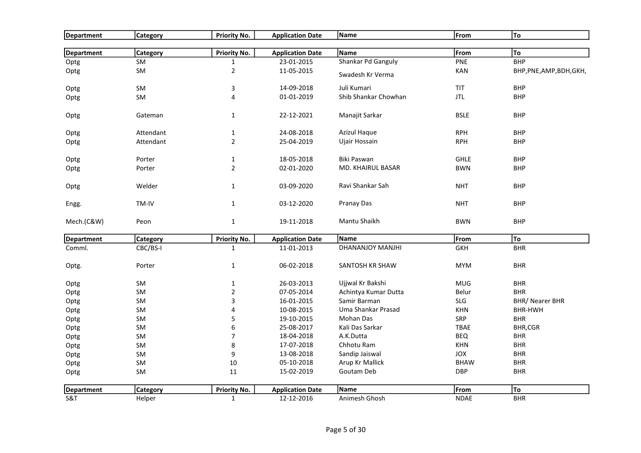| Department        | <b>Category</b> | <b>Priority No.</b>     | <b>Application Date</b> | Name                 | From        | To                       |
|-------------------|-----------------|-------------------------|-------------------------|----------------------|-------------|--------------------------|
|                   |                 |                         |                         |                      |             |                          |
| <b>Department</b> | Category        | Priority No.            | <b>Application Date</b> | Name                 | From        | To                       |
| Optg              | <b>SM</b>       | $\mathbf{1}$            | 23-01-2015              | Shankar Pd Ganguly   | PNE         | <b>BHP</b>               |
| Optg              | <b>SM</b>       | $\overline{2}$          | 11-05-2015              | Swadesh Kr Verma     | KAN         | BHP, PNE, AMP, BDH, GKH, |
| Optg              | SM              | $\mathsf{3}$            | 14-09-2018              | Juli Kumari          | TIT         | <b>BHP</b>               |
| Optg              | SM              | $\overline{\mathbf{4}}$ | 01-01-2019              | Shib Shankar Chowhan | <b>JTL</b>  | <b>BHP</b>               |
| Optg              | Gateman         | $\mathbf{1}$            | 22-12-2021              | Manajit Sarkar       | <b>BSLE</b> | <b>BHP</b>               |
| Optg              | Attendant       | $\mathbf{1}$            | 24-08-2018              | <b>Azizul Haque</b>  | <b>RPH</b>  | <b>BHP</b>               |
| Optg              | Attendant       | $\overline{2}$          | 25-04-2019              | Ujair Hossain        | <b>RPH</b>  | <b>BHP</b>               |
| Optg              | Porter          | $\mathbf 1$             | 18-05-2018              | Biki Paswan          | <b>GHLE</b> | <b>BHP</b>               |
| Optg              | Porter          | $\overline{2}$          | 02-01-2020              | MD. KHAIRUL BASAR    | <b>BWN</b>  | <b>BHP</b>               |
| Optg              | Welder          | $\mathbf{1}$            | 03-09-2020              | Ravi Shankar Sah     | <b>NHT</b>  | <b>BHP</b>               |
| Engg.             | TM-IV           | $\mathbf{1}$            | 03-12-2020              | Pranay Das           | <b>NHT</b>  | <b>BHP</b>               |
| Mech.(C&W)        | Peon            | $\mathbf{1}$            | 19-11-2018              | Mantu Shaikh         | <b>BWN</b>  | <b>BHP</b>               |
| <b>Department</b> | <b>Category</b> | <b>Priority No.</b>     | <b>Application Date</b> | Name                 | From        | To                       |
| Comml.            | CBC/BS-I        | $\mathbf{1}$            | 11-01-2013              | DHANANJOY MANJHI     | <b>GKH</b>  | <b>BHR</b>               |
| Optg.             | Porter          | $\mathbf{1}$            | 06-02-2018              | SANTOSH KR SHAW      | <b>MYM</b>  | <b>BHR</b>               |
| Optg              | SM              | $\mathbf{1}$            | 26-03-2013              | Ujjwal Kr Bakshi     | <b>MUG</b>  | <b>BHR</b>               |
| Optg              | SM              | $\overline{2}$          | 07-05-2014              | Achintya Kumar Dutta | Belur       | <b>BHR</b>               |
| Optg              | SM              | 3                       | 16-01-2015              | Samir Barman         | <b>SLG</b>  | <b>BHR/ Nearer BHR</b>   |
| Optg              | SM              | $\overline{\mathbf{4}}$ | 10-08-2015              | Uma Shankar Prasad   | <b>KHN</b>  | <b>BHR-HWH</b>           |
| Optg              | SM              | 5                       | 19-10-2015              | Mohan Das            | SRP         | <b>BHR</b>               |
| Optg              | SM              | 6                       | 25-08-2017              | Kali Das Sarkar      | <b>TBAE</b> | BHR,CGR                  |
| Optg              | SM              | $\overline{7}$          | 18-04-2018              | A.K.Dutta            | <b>BEQ</b>  | <b>BHR</b>               |
| Optg              | SM              | $\bf 8$                 | 17-07-2018              | Chhotu Ram           | KHN         | <b>BHR</b>               |
| Optg              | SM              | 9                       | 13-08-2018              | Sandip Jaiswal       | <b>JOX</b>  | <b>BHR</b>               |
| Optg              | SM              | 10                      | 05-10-2018              | Arup Kr Mallick      | <b>BHAW</b> | <b>BHR</b>               |
| Optg              | <b>SM</b>       | 11                      | 15-02-2019              | Goutam Deb           | <b>DBP</b>  | <b>BHR</b>               |
| Department        | Category        | <b>Priority No.</b>     | <b>Application Date</b> | Name                 | From        | To                       |
| S&T               | Helper          | $\mathbf 1$             | 12-12-2016              | Animesh Ghosh        | <b>NDAE</b> | <b>BHR</b>               |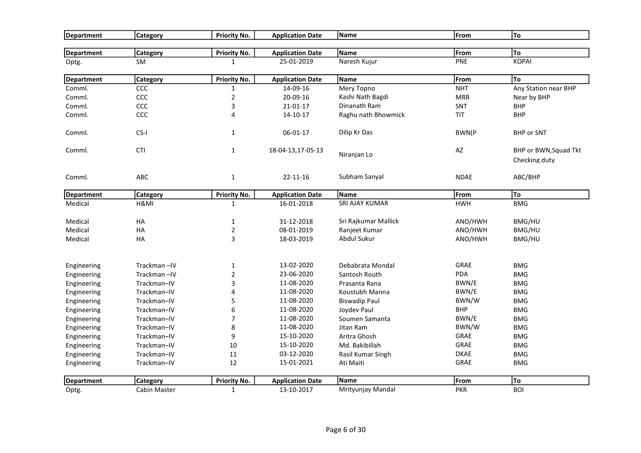| Department        | Category        | <b>Priority No.</b> | <b>Application Date</b> | Name                 | From        | To                                     |
|-------------------|-----------------|---------------------|-------------------------|----------------------|-------------|----------------------------------------|
|                   |                 |                     |                         |                      |             |                                        |
| Department        | <b>Category</b> | <b>Priority No.</b> | <b>Application Date</b> | Name                 | From        | To                                     |
| Optg.             | <b>SM</b>       | $\mathbf{1}$        | 25-01-2019              | Naresh Kujur         | PNE         | <b>KOPAI</b>                           |
| Department        | <b>Category</b> | <b>Priority No.</b> | <b>Application Date</b> | Name                 | From        | To                                     |
| Comml.            | <b>CCC</b>      | $\mathbf{1}$        | 14-09-16                | Mery Topno           | <b>NHT</b>  | Any Station near BHP                   |
| Comml.            | ccc             | $\mathbf 2$         | 20-09-16                | Kashi Nath Bagdi     | <b>MRR</b>  | Near by BHP                            |
| Comml.            | ccc             | 3                   | 21-01-17                | Dinanath Ram         | <b>SNT</b>  | <b>BHP</b>                             |
| Comml.            | CCC             | $\overline{4}$      | 14-10-17                | Raghu nath Bhowmick  | <b>TIT</b>  | <b>BHP</b>                             |
| Comml.            | CS-I            | $\mathbf{1}$        | 06-01-17                | Dilip Kr Das         | BWN(P       | <b>BHP or SNT</b>                      |
| Comml.            | <b>CTI</b>      | $\mathbf{1}$        | 18-04-13,17-05-13       | Niranjan Lo          | AZ          | BHP or BWN, Squad Tkt<br>Checking duty |
| Comml.            | ABC             | $\mathbf{1}$        | 22-11-16                | Subham Sanyal        | <b>NDAE</b> | ABC/BHP                                |
| <b>Department</b> | <b>Category</b> | <b>Priority No.</b> | <b>Application Date</b> | Name                 | From        | To                                     |
| Medical           | H&MI            | $\mathbf{1}$        | 16-01-2018              | SRI AJAY KUMAR       | <b>HWH</b>  | <b>BMG</b>                             |
| Medical           | HA              | 1                   | 31-12-2018              | Sri Rajkumar Mallick | ANO/HWH     | BMG/HU                                 |
| Medical           | HA              | $\mathbf 2$         | 08-01-2019              | Ranjeet Kumar        | ANO/HWH     | BMG/HU                                 |
| Medical           | HA              | 3                   | 18-03-2019              | Abdul Sukur          | ANO/HWH     | BMG/HU                                 |
| Engineering       | Trackman-IV     | $\mathbf{1}$        | 13-02-2020              | Debabrata Mondal     | GRAE        | <b>BMG</b>                             |
| Engineering       | Trackman-IV     | $\mathbf 2$         | 23-06-2020              | Santosh Routh        | <b>PDA</b>  | <b>BMG</b>                             |
| Engineering       | Trackman-IV     | 3                   | 11-08-2020              | Prasanta Rana        | BWN/E       | <b>BMG</b>                             |
| Engineering       | Trackman-IV     | 4                   | 11-08-2020              | Koustubh Manna       | BWN/E       | <b>BMG</b>                             |
| Engineering       | Trackman-IV     | 5                   | 11-08-2020              | <b>Biswadip Paul</b> | BWN/W       | <b>BMG</b>                             |
| Engineering       | Trackman-IV     | 6                   | 11-08-2020              | Joydev Paul          | <b>BHP</b>  | <b>BMG</b>                             |
| Engineering       | Trackman-IV     | $\overline{7}$      | 11-08-2020              | Soumen Samanta       | BWN/E       | <b>BMG</b>                             |
| Engineering       | Trackman-IV     | 8                   | 11-08-2020              | Jitan Ram            | BWN/W       | <b>BMG</b>                             |
| Engineering       | Trackman-IV     | 9                   | 15-10-2020              | Aritra Ghosh         | GRAE        | <b>BMG</b>                             |
| Engineering       | Trackman-IV     | 10                  | 15-10-2020              | Md. Bakibillah       | GRAE        | <b>BMG</b>                             |
| Engineering       | Trackman-IV     | 11                  | 03-12-2020              | Rasil Kumar Singh    | <b>DKAE</b> | <b>BMG</b>                             |
| Engineering       | Trackman-IV     | 12                  | 15-01-2021              | Ati Maiti            | GRAE        | <b>BMG</b>                             |
| <b>Department</b> | <b>Category</b> | Priority No.        | <b>Application Date</b> | Name                 | From        | To                                     |
| Optg.             | Cabin Master    | $\mathbf{1}$        | 13-10-2017              | Mrityunjay Mandal    | <b>PKR</b>  | <b>BOI</b>                             |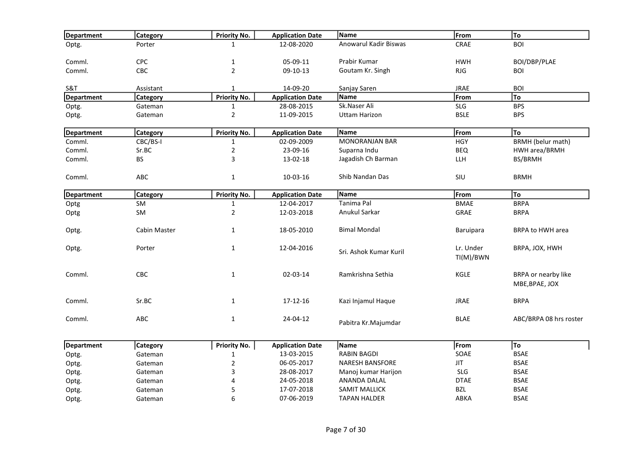| <b>Department</b> | <b>Category</b> | <b>Priority No.</b> | <b>Application Date</b> | Name                   | From        | To                       |
|-------------------|-----------------|---------------------|-------------------------|------------------------|-------------|--------------------------|
| Optg.             | Porter          | $\mathbf{1}$        | 12-08-2020              | Anowarul Kadir Biswas  | CRAE        | <b>BOI</b>               |
|                   |                 |                     |                         |                        |             |                          |
| Comml.            | CPC             | $\mathbf{1}$        | 05-09-11                | Prabir Kumar           | <b>HWH</b>  | BOI/DBP/PLAE             |
| Comml.            | <b>CBC</b>      | $\overline{2}$      | 09-10-13                | Goutam Kr. Singh       | <b>RJG</b>  | <b>BOI</b>               |
| S&T               | Assistant       | $\mathbf{1}$        | 14-09-20                | Sanjay Saren           | <b>JRAE</b> | <b>BOI</b>               |
| Department        | <b>Category</b> | <b>Priority No.</b> | <b>Application Date</b> | Name                   | From        | To                       |
| Optg.             | Gateman         | $\mathbf{1}$        | 28-08-2015              | Sk.Naser Ali           | <b>SLG</b>  | <b>BPS</b>               |
| Optg.             | Gateman         | $\mathbf 2$         | 11-09-2015              | Uttam Harizon          | <b>BSLE</b> | <b>BPS</b>               |
| <b>Department</b> | <b>Category</b> | <b>Priority No.</b> | <b>Application Date</b> | Name                   | From        | To                       |
| Comml.            | CBC/BS-I        | $\mathbf{1}$        | 02-09-2009              | <b>MONORANJAN BAR</b>  | <b>HGY</b>  | <b>BRMH</b> (belur math) |
| Comml.            | Sr.BC           | $\overline{2}$      | 23-09-16                | Suparna Indu           | <b>BEQ</b>  | HWH area/BRMH            |
| Comml.            | BS.             | 3                   | 13-02-18                | Jagadish Ch Barman     | LLH         | BS/BRMH                  |
| Comml.            | <b>ABC</b>      | $\mathbf{1}$        | 10-03-16                | Shib Nandan Das        | <b>SIU</b>  | <b>BRMH</b>              |
| Department        | <b>Category</b> | <b>Priority No.</b> | <b>Application Date</b> | Name                   | From        | To                       |
| Optg              | <b>SM</b>       | $\mathbf{1}$        | 12-04-2017              | Tanima Pal             | <b>BMAE</b> | <b>BRPA</b>              |
| Optg              | <b>SM</b>       | $\overline{2}$      | 12-03-2018              | Anukul Sarkar          | GRAE        | <b>BRPA</b>              |
|                   |                 |                     |                         |                        |             |                          |
| Optg.             | Cabin Master    | $\mathbf{1}$        | 18-05-2010              | <b>Bimal Mondal</b>    | Baruipara   | <b>BRPA to HWH area</b>  |
| Optg.             | Porter          | $\mathbf{1}$        | 12-04-2016              |                        | Lr. Under   | BRPA, JOX, HWH           |
|                   |                 |                     |                         | Sri. Ashok Kumar Kuril | TI(M)/BWN   |                          |
| Comml.            | <b>CBC</b>      | $\mathbf{1}$        | 02-03-14                | Ramkrishna Sethia      | KGLE        | BRPA or nearby like      |
|                   |                 |                     |                         |                        |             | MBE, BPAE, JOX           |
| Comml.            | Sr.BC           | $\mathbf{1}$        | 17-12-16                | Kazi Injamul Haque     | <b>JRAE</b> | <b>BRPA</b>              |
|                   |                 |                     |                         |                        |             |                          |
| Comml.            | ABC             | $\mathbf{1}$        | 24-04-12                | Pabitra Kr.Majumdar    | <b>BLAE</b> | ABC/BRPA 08 hrs roster   |
| Department        | <b>Category</b> | <b>Priority No.</b> | <b>Application Date</b> | Name                   | From        | To                       |
| Optg.             | Gateman         | 1                   | 13-03-2015              | <b>RABIN BAGDI</b>     | SOAE        | <b>BSAE</b>              |
| Optg.             | Gateman         | $\mathbf 2$         | 06-05-2017              | <b>NARESH BANSFORE</b> | <b>JIT</b>  | <b>BSAE</b>              |
| Optg.             | Gateman         | 3                   | 28-08-2017              | Manoj kumar Harijon    | <b>SLG</b>  | <b>BSAE</b>              |
| Optg.             | Gateman         | 4                   | 24-05-2018              | ANANDA DALAL           | <b>DTAE</b> | <b>BSAE</b>              |
| Optg.             | Gateman         | 5                   | 17-07-2018              | SAMIT MALLICK          | BZL         | <b>BSAE</b>              |
| Optg.             | Gateman         | 6                   | 07-06-2019              | <b>TAPAN HALDER</b>    | ABKA        | <b>BSAE</b>              |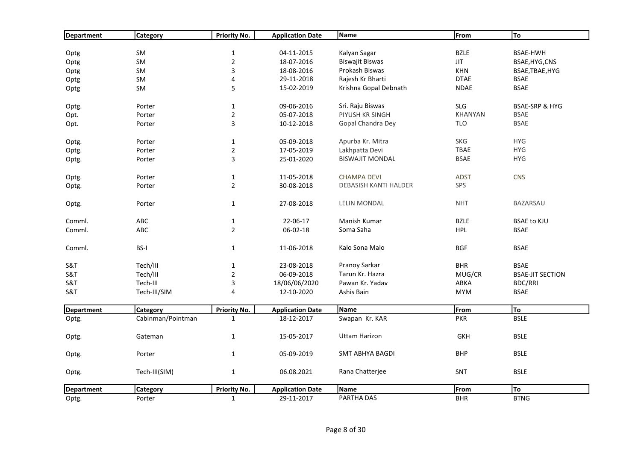| Department        | Category          | <b>Priority No.</b> | <b>Application Date</b> | Name                   | From           | To                        |
|-------------------|-------------------|---------------------|-------------------------|------------------------|----------------|---------------------------|
|                   |                   |                     |                         |                        |                |                           |
| Optg              | SM                | $\mathbf 1$         | 04-11-2015              | Kalyan Sagar           | <b>BZLE</b>    | <b>BSAE-HWH</b>           |
| Optg              | SM                | $\mathbf 2$         | 18-07-2016              | <b>Biswajit Biswas</b> | <b>JIT</b>     | BSAE, HYG, CNS            |
| Optg              | SM                | 3                   | 18-08-2016              | Prokash Biswas         | <b>KHN</b>     | BSAE, TBAE, HYG           |
| Optg              | SM                | 4                   | 29-11-2018              | Rajesh Kr Bharti       | <b>DTAE</b>    | <b>BSAE</b>               |
| Optg              | SM                | 5                   | 15-02-2019              | Krishna Gopal Debnath  | <b>NDAE</b>    | <b>BSAE</b>               |
| Optg.             | Porter            | $\mathbf 1$         | 09-06-2016              | Sri. Raju Biswas       | <b>SLG</b>     | <b>BSAE-SRP &amp; HYG</b> |
| Opt.              | Porter            | $\overline{2}$      | 05-07-2018              | PIYUSH KR SINGH        | <b>KHANYAN</b> | <b>BSAE</b>               |
| Opt.              | Porter            | 3                   | 10-12-2018              | Gopal Chandra Dey      | <b>TLO</b>     | <b>BSAE</b>               |
| Optg.             | Porter            | $\mathbf{1}$        | 05-09-2018              | Apurba Kr. Mitra       | <b>SKG</b>     | <b>HYG</b>                |
| Optg.             | Porter            | $\overline{2}$      | 17-05-2019              | Lakhpatta Devi         | TBAE           | <b>HYG</b>                |
| Optg.             | Porter            | 3                   | 25-01-2020              | <b>BISWAJIT MONDAL</b> | <b>BSAE</b>    | <b>HYG</b>                |
| Optg.             | Porter            | $\mathbf{1}$        | 11-05-2018              | <b>CHAMPA DEVI</b>     | <b>ADST</b>    | <b>CNS</b>                |
| Optg.             | Porter            | $\overline{2}$      | 30-08-2018              | DEBASISH KANTI HALDER  | <b>SPS</b>     |                           |
| Optg.             | Porter            | $\mathbf 1$         | 27-08-2018              | <b>LELIN MONDAL</b>    | <b>NHT</b>     | BAZARSAU                  |
| Comml.            | ABC               | $\mathbf 1$         | 22-06-17                | Manish Kumar           | <b>BZLE</b>    | <b>BSAE to KJU</b>        |
| Comml.            | ABC               | $\overline{2}$      | 06-02-18                | Soma Saha              | <b>HPL</b>     | <b>BSAE</b>               |
| Comml.            | BS-I              | $\mathbf{1}$        | 11-06-2018              | Kalo Sona Malo         | <b>BGF</b>     | <b>BSAE</b>               |
| S&T               | Tech/III          | $\mathbf{1}$        | 23-08-2018              | Pranoy Sarkar          | <b>BHR</b>     | <b>BSAE</b>               |
| S&T               | Tech/III          | $\overline{2}$      | 06-09-2018              | Tarun Kr. Hazra        | MUG/CR         | <b>BSAE-JIT SECTION</b>   |
| S&T               | Tech-III          | 3                   | 18/06/06/2020           | Pawan Kr. Yadav        | ABKA           | <b>BDC/RRI</b>            |
| S&T               | Tech-III/SIM      | 4                   | 12-10-2020              | Ashis Bain             | <b>MYM</b>     | <b>BSAE</b>               |
| <b>Department</b> | Category          | <b>Priority No.</b> | <b>Application Date</b> | Name                   | From           | To                        |
| Optg.             | Cabinman/Pointman | $\mathbf{1}$        | 18-12-2017              | Swapan Kr. KAR         | <b>PKR</b>     | <b>BSLE</b>               |
| Optg.             | Gateman           | $\mathbf 1$         | 15-05-2017              | <b>Uttam Harizon</b>   | <b>GKH</b>     | <b>BSLE</b>               |
| Optg.             | Porter            | $\mathbf{1}$        | 05-09-2019              | <b>SMT ABHYA BAGDI</b> | <b>BHP</b>     | <b>BSLE</b>               |
| Optg.             | Tech-III(SIM)     | $\mathbf 1$         | 06.08.2021              | Rana Chatterjee        | SNT            | <b>BSLE</b>               |
| <b>Department</b> | Category          | Priority No.        | <b>Application Date</b> | Name                   | From           | To                        |
| Optg.             | Porter            | $\mathbf{1}$        | 29-11-2017              | PARTHA DAS             | <b>BHR</b>     | <b>BTNG</b>               |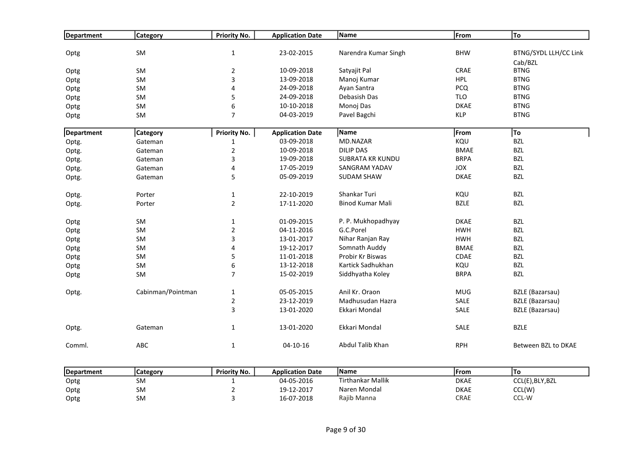| Department | <b>Category</b>   | Priority No.        | <b>Application Date</b> | Name                    | From        | To                           |
|------------|-------------------|---------------------|-------------------------|-------------------------|-------------|------------------------------|
|            |                   |                     |                         |                         |             |                              |
| Optg       | SM                | $\mathbf{1}$        | 23-02-2015              | Narendra Kumar Singh    | <b>BHW</b>  | <b>BTNG/SYDL LLH/CC Link</b> |
|            |                   |                     |                         |                         |             | Cab/BZL                      |
| Optg       | <b>SM</b>         | $\overline{2}$      | 10-09-2018              | Satyajit Pal            | CRAE        | <b>BTNG</b>                  |
| Optg       | SM                | 3                   | 13-09-2018              | Manoj Kumar             | <b>HPL</b>  | <b>BTNG</b>                  |
| Optg       | <b>SM</b>         | 4                   | 24-09-2018              | Ayan Santra             | <b>PCQ</b>  | <b>BTNG</b>                  |
| Optg       | <b>SM</b>         | 5                   | 24-09-2018              | Debasish Das            | <b>TLO</b>  | <b>BTNG</b>                  |
| Optg       | SM                | 6                   | 10-10-2018              | Monoj Das               | <b>DKAE</b> | <b>BTNG</b>                  |
| Optg       | SM                | $\overline{7}$      | 04-03-2019              | Pavel Bagchi            | <b>KLP</b>  | <b>BTNG</b>                  |
| Department | <b>Category</b>   | <b>Priority No.</b> | <b>Application Date</b> | Name                    | From        | To                           |
| Optg.      | Gateman           | 1                   | 03-09-2018              | MD.NAZAR                | KQU         | <b>BZL</b>                   |
| Optg.      | Gateman           | $\overline{2}$      | 10-09-2018              | <b>DILIP DAS</b>        | <b>BMAE</b> | <b>BZL</b>                   |
| Optg.      | Gateman           | 3                   | 19-09-2018              | <b>SUBRATA KR KUNDU</b> | <b>BRPA</b> | <b>BZL</b>                   |
| Optg.      | Gateman           | 4                   | 17-05-2019              | SANGRAM YADAV           | JOX         | <b>BZL</b>                   |
| Optg.      | Gateman           | 5                   | 05-09-2019              | <b>SUDAM SHAW</b>       | <b>DKAE</b> | <b>BZL</b>                   |
| Optg.      | Porter            | $\mathbf{1}$        | 22-10-2019              | Shankar Turi            | KQU         | <b>BZL</b>                   |
| Optg.      | Porter            | $\overline{2}$      | 17-11-2020              | <b>Binod Kumar Mali</b> | <b>BZLE</b> | <b>BZL</b>                   |
| Optg       | SM                | $\mathbf{1}$        | 01-09-2015              | P. P. Mukhopadhyay      | <b>DKAE</b> | <b>BZL</b>                   |
| Optg       | <b>SM</b>         | $\overline{2}$      | 04-11-2016              | G.C.Porel               | <b>HWH</b>  | <b>BZL</b>                   |
| Optg       | <b>SM</b>         | 3                   | 13-01-2017              | Nihar Ranjan Ray        | <b>HWH</b>  | <b>BZL</b>                   |
| Optg       | SM                | 4                   | 19-12-2017              | Somnath Auddy           | <b>BMAE</b> | <b>BZL</b>                   |
| Optg       | SM                | 5                   | 11-01-2018              | Probir Kr Biswas        | CDAE        | <b>BZL</b>                   |
| Optg       | SM                | 6                   | 13-12-2018              | Kartick Sadhukhan       | KQU         | <b>BZL</b>                   |
| Optg       | SM                | 7                   | 15-02-2019              | Siddhyatha Koley        | <b>BRPA</b> | <b>BZL</b>                   |
| Optg.      | Cabinman/Pointman | $\mathbf{1}$        | 05-05-2015              | Anil Kr. Oraon          | <b>MUG</b>  | <b>BZLE</b> (Bazarsau)       |
|            |                   | $\overline{2}$      | 23-12-2019              | Madhusudan Hazra        | SALE        | <b>BZLE</b> (Bazarsau)       |
|            |                   | 3                   | 13-01-2020              | Ekkari Mondal           | SALE        | <b>BZLE</b> (Bazarsau)       |
| Optg.      | Gateman           | $\mathbf{1}$        | 13-01-2020              | Ekkari Mondal           | SALE        | <b>BZLE</b>                  |
| Comml.     | ABC               | $\mathbf{1}$        | 04-10-16                | Abdul Talib Khan        | <b>RPH</b>  | Between BZL to DKAE          |

| <b>IDepartment</b> | Category  | Priority No. | <b>Application Date</b> | l Name            | <b>IFrom</b> | То                         |
|--------------------|-----------|--------------|-------------------------|-------------------|--------------|----------------------------|
| Optg               | <b>SM</b> |              | 04-05-2016              | Tirthankar Mallik | <b>DKAE</b>  | CCL(E), BLY, BZL           |
| Optg               | <b>SM</b> |              | 19-12-2017              | Naren Mondal      | <b>DKAE</b>  | CCL(W)                     |
| Optg               | SM        |              | 16-07-2018              | Rajib Manna       | CRAE         | $CCI$ $M$<br><b>CCL-VV</b> |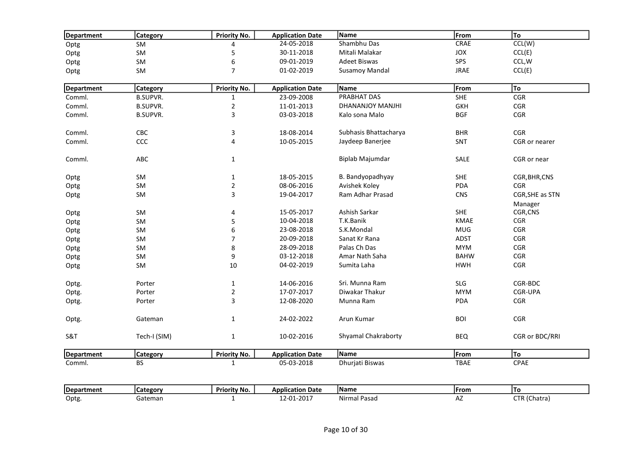| Department | Category        | Priority No.     | <b>Application Date</b> | <b>Name</b>           | From        | To              |
|------------|-----------------|------------------|-------------------------|-----------------------|-------------|-----------------|
| Optg       | SM              | 4                | 24-05-2018              | Shambhu Das           | CRAE        | CCL(W)          |
| Optg       | SM              | 5                | 30-11-2018              | Mitali Malakar        | JOX         | CCL(E)          |
| Optg       | SM              | 6                | 09-01-2019              | <b>Adeet Biswas</b>   | SPS         | CCL, W          |
| Optg       | SM              | $\overline{7}$   | 01-02-2019              | <b>Susamoy Mandal</b> | <b>JRAE</b> | CCL(E)          |
| Department | Category        | Priority No.     | <b>Application Date</b> | Name                  | From        | To              |
| Comml.     | <b>B.SUPVR.</b> | $\mathbf{1}$     | 23-09-2008              | PRABHAT DAS           | <b>SHE</b>  | CGR             |
| Comml.     | <b>B.SUPVR.</b> | $\mathbf 2$      | 11-01-2013              | DHANANJOY MANJHI      | <b>GKH</b>  | CGR             |
| Comml.     | <b>B.SUPVR.</b> | 3                | 03-03-2018              | Kalo sona Malo        | <b>BGF</b>  | CGR             |
| Comml.     | CBC             | 3                | 18-08-2014              | Subhasis Bhattacharya | <b>BHR</b>  | <b>CGR</b>      |
| Comml.     | CCC             | 4                | 10-05-2015              | Jaydeep Banerjee      | SNT         | CGR or nearer   |
| Comml.     | ABC             | $\mathbf{1}$     |                         | Biplab Majumdar       | SALE        | CGR or near     |
| Optg       | SM              | $\mathbf{1}$     | 18-05-2015              | B. Bandyopadhyay      | <b>SHE</b>  | CGR, BHR, CNS   |
| Optg       | SM              | $\overline{2}$   | 08-06-2016              | Avishek Koley         | PDA         | <b>CGR</b>      |
| Optg       | SM              | 3                | 19-04-2017              | Ram Adhar Prasad      | <b>CNS</b>  | CGR, SHE as STN |
|            |                 |                  |                         |                       |             | Manager         |
| Optg       | SM              | $\pmb{4}$        | 15-05-2017              | Ashish Sarkar         | <b>SHE</b>  | CGR, CNS        |
| Optg       | SM              | 5                | 10-04-2018              | T.K.Banik             | <b>KMAE</b> | CGR             |
| Optg       | SM              | $\boldsymbol{6}$ | 23-08-2018              | S.K.Mondal            | <b>MUG</b>  | CGR             |
| Optg       | SM              | $\overline{7}$   | 20-09-2018              | Sanat Kr Rana         | <b>ADST</b> | <b>CGR</b>      |
| Optg       | SM              | 8                | 28-09-2018              | Palas Ch Das          | <b>MYM</b>  | CGR             |
| Optg       | <b>SM</b>       | 9                | 03-12-2018              | Amar Nath Saha        | <b>BAHW</b> | <b>CGR</b>      |
| Optg       | SM              | 10               | 04-02-2019              | Sumita Laha           | <b>HWH</b>  | CGR             |
| Optg.      | Porter          | $\mathbf{1}$     | 14-06-2016              | Sri. Munna Ram        | <b>SLG</b>  | CGR-BDC         |
| Optg.      | Porter          | $\overline{2}$   | 17-07-2017              | Diwakar Thakur        | <b>MYM</b>  | CGR-UPA         |
| Optg.      | Porter          | 3                | 12-08-2020              | Munna Ram             | <b>PDA</b>  | CGR             |
| Optg.      | Gateman         | $\mathbf{1}$     | 24-02-2022              | Arun Kumar            | <b>BOI</b>  | CGR             |
| S&T        | Tech-I (SIM)    | $\mathbf{1}$     | 10-02-2016              | Shyamal Chakraborty   | <b>BEQ</b>  | CGR or BDC/RRI  |
| Department | Category        | Priority No.     | <b>Application Date</b> | Name                  | From        | To              |
| Comml.     | <b>BS</b>       | $\mathbf{1}$     | 05-03-2018              | Dhurjati Biswas       | <b>TBAE</b> | CPAE            |
|            |                 |                  |                         | Name                  | From        | To              |
| Department | <b>Category</b> | Priority No.     | <b>Application Date</b> | Nirmal Pasad          |             |                 |
| Optg.      | Gateman         | 1                | 12-01-2017              |                       | AZ          | CTR (Chatra)    |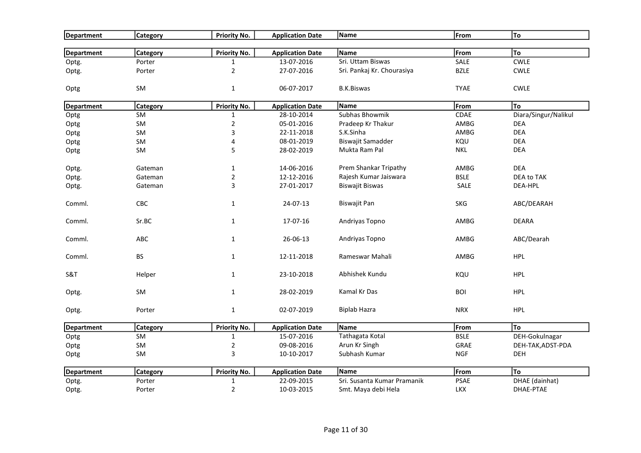| Department        | <b>Category</b> | <b>Priority No.</b>     | <b>Application Date</b> | Name                        | From        | To                   |
|-------------------|-----------------|-------------------------|-------------------------|-----------------------------|-------------|----------------------|
| <b>Department</b> | <b>Category</b> | Priority No.            | <b>Application Date</b> | Name                        | From        | <b>To</b>            |
| Optg.             | Porter          | $\mathbf{1}$            | 13-07-2016              | Sri. Uttam Biswas           | SALE        | <b>CWLE</b>          |
| Optg.             | Porter          | $\overline{2}$          | 27-07-2016              | Sri. Pankaj Kr. Chourasiya  | <b>BZLE</b> | <b>CWLE</b>          |
| Optg              | SM              | $\mathbf 1$             | 06-07-2017              | <b>B.K.Biswas</b>           | <b>TYAE</b> | <b>CWLE</b>          |
| Department        | Category        | Priority No.            | <b>Application Date</b> | Name                        | From        | To                   |
| Optg              | <b>SM</b>       | $\mathbf{1}$            | 28-10-2014              | Subhas Bhowmik              | CDAE        | Diara/Singur/Nalikul |
| Optg              | SM              | $\overline{2}$          | 05-01-2016              | Pradeep Kr Thakur           | AMBG        | <b>DEA</b>           |
| Optg              | SM              | 3                       | 22-11-2018              | S.K.Sinha                   | AMBG        | <b>DEA</b>           |
| Optg              | SM              | $\overline{\mathbf{4}}$ | 08-01-2019              | <b>Biswajit Samadder</b>    | KQU         | <b>DEA</b>           |
| Optg              | SM              | 5                       | 28-02-2019              | Mukta Ram Pal               | <b>NKL</b>  | <b>DEA</b>           |
| Optg.             | Gateman         | $\mathbf{1}$            | 14-06-2016              | Prem Shankar Tripathy       | AMBG        | <b>DEA</b>           |
| Optg.             | Gateman         | $\overline{2}$          | 12-12-2016              | Rajesh Kumar Jaiswara       | <b>BSLE</b> | DEA to TAK           |
| Optg.             | Gateman         | $\mathbf{3}$            | 27-01-2017              | <b>Biswajit Biswas</b>      | SALE        | DEA-HPL              |
| Comml.            | CBC             | $\mathbf{1}$            | 24-07-13                | <b>Biswajit Pan</b>         | <b>SKG</b>  | ABC/DEARAH           |
| Comml.            | Sr.BC           | $\mathbf{1}$            | 17-07-16                | Andriyas Topno              | AMBG        | <b>DEARA</b>         |
| Comml.            | ABC             | $\mathbf{1}$            | 26-06-13                | Andriyas Topno              | AMBG        | ABC/Dearah           |
| Comml.            | BS              | $\mathbf{1}$            | 12-11-2018              | Rameswar Mahali             | AMBG        | <b>HPL</b>           |
| S&T               | Helper          | $\mathbf{1}$            | 23-10-2018              | Abhishek Kundu              | KQU         | <b>HPL</b>           |
| Optg.             | SM              | $\mathbf{1}$            | 28-02-2019              | Kamal Kr Das                | <b>BOI</b>  | <b>HPL</b>           |
| Optg.             | Porter          | $\mathbf{1}$            | 02-07-2019              | <b>Biplab Hazra</b>         | <b>NRX</b>  | <b>HPL</b>           |
| Department        | <b>Category</b> | Priority No.            | <b>Application Date</b> | Name                        | From        | To                   |
| Optg              | <b>SM</b>       | $\mathbf{1}$            | 15-07-2016              | Tathagata Kotal             | <b>BSLE</b> | DEH-Gokulnagar       |
| Optg              | SM              | $\overline{2}$          | 09-08-2016              | Arun Kr Singh               | GRAE        | DEH-TAK, ADST-PDA    |
| Optg              | SM              | 3                       | 10-10-2017              | Subhash Kumar               | <b>NGF</b>  | DEH                  |
| <b>Department</b> | <b>Category</b> | <b>Priority No.</b>     | <b>Application Date</b> | Name                        | From        | To                   |
| Optg.             | Porter          | $\mathbf{1}$            | 22-09-2015              | Sri. Susanta Kumar Pramanik | <b>PSAE</b> | DHAE (dainhat)       |
| Optg.             | Porter          | $\overline{2}$          | 10-03-2015              | Smt. Maya debi Hela         | <b>LKX</b>  | DHAE-PTAE            |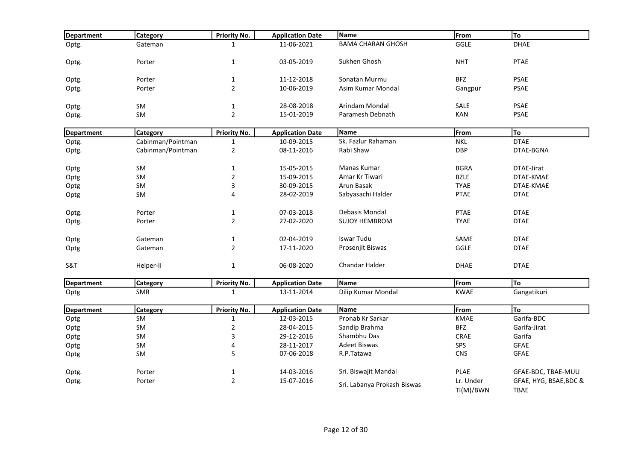| Department | <b>Category</b>   | <b>Priority No.</b> | <b>Application Date</b> | <b>Name</b>                 | From                   | To                                    |
|------------|-------------------|---------------------|-------------------------|-----------------------------|------------------------|---------------------------------------|
| Optg.      | Gateman           | $\mathbf{1}$        | 11-06-2021              | <b>BAMA CHARAN GHOSH</b>    | GGLE                   | <b>DHAE</b>                           |
|            |                   |                     |                         |                             |                        |                                       |
| Optg.      | Porter            | $\mathbf{1}$        | 03-05-2019              | Sukhen Ghosh                | <b>NHT</b>             | <b>PTAE</b>                           |
| Optg.      | Porter            | $\mathbf{1}$        | 11-12-2018              | Sonatan Murmu               | <b>BFZ</b>             | <b>PSAE</b>                           |
| Optg.      | Porter            | $\overline{2}$      | 10-06-2019              | Asim Kumar Mondal           | Gangpur                | <b>PSAE</b>                           |
|            |                   |                     |                         |                             |                        |                                       |
| Optg.      | SM                | $\mathbf{1}$        | 28-08-2018              | Arindam Mondal              | SALE                   | <b>PSAE</b>                           |
| Optg.      | SM                | $\overline{2}$      | 15-01-2019              | Paramesh Debnath            | KAN                    | <b>PSAE</b>                           |
| Department | Category          | <b>Priority No.</b> | <b>Application Date</b> | Name                        | From                   | To                                    |
| Optg.      | Cabinman/Pointman | $\mathbf{1}$        | 10-09-2015              | Sk. Fazlur Rahaman          | <b>NKL</b>             | <b>DTAE</b>                           |
|            | Cabinman/Pointman | $\mathbf 2$         | 08-11-2016              | Rabi Shaw                   | <b>DBP</b>             | DTAE-BGNA                             |
| Optg.      |                   |                     |                         |                             |                        |                                       |
| Optg       | SM                | $\mathbf 1$         | 15-05-2015              | Manas Kumar                 | <b>BGRA</b>            | DTAE-Jirat                            |
| Optg       | SM                | $\overline{2}$      | 15-09-2015              | Amar Kr Tiwari              | <b>BZLE</b>            | DTAE-KMAE                             |
| Optg       | SM                | 3                   | 30-09-2015              | Arun Basak                  | <b>TYAE</b>            | DTAE-KMAE                             |
| Optg       | SM                | 4                   | 28-02-2019              | Sabyasachi Halder           | <b>PTAE</b>            | <b>DTAE</b>                           |
|            |                   |                     |                         |                             |                        |                                       |
| Optg.      | Porter            | $\mathbf{1}$        | 07-03-2018              | Debasis Mondal              | <b>PTAE</b>            | <b>DTAE</b>                           |
| Optg.      | Porter            | $\overline{2}$      | 27-02-2020              | <b>SUJOY HEMBROM</b>        | <b>TYAE</b>            | <b>DTAE</b>                           |
| Optg       | Gateman           | $\mathbf{1}$        | 02-04-2019              | Iswar Tudu                  | SAME                   | <b>DTAE</b>                           |
| Optg       | Gateman           | $\overline{2}$      | 17-11-2020              | Prosenjit Biswas            | <b>GGLE</b>            | <b>DTAE</b>                           |
|            |                   |                     |                         |                             |                        |                                       |
| S&T        | Helper-II         | $\mathbf{1}$        | 06-08-2020              | <b>Chandar Halder</b>       | <b>DHAE</b>            | <b>DTAE</b>                           |
|            |                   |                     |                         |                             |                        |                                       |
| Department | Category          | <b>Priority No.</b> | <b>Application Date</b> | Name                        | From                   | To                                    |
| Optg       | <b>SMR</b>        | $\mathbf{1}$        | 13-11-2014              | Dilip Kumar Mondal          | <b>KWAE</b>            | Gangatikuri                           |
| Department | Category          | <b>Priority No.</b> | <b>Application Date</b> | Name                        | From                   | To                                    |
| Optg       | SM                | $\mathbf 1$         | 12-03-2015              | Pronab Kr Sarkar            | <b>KMAE</b>            | Garifa-BDC                            |
| Optg       | SM                | $\mathbf 2$         | 28-04-2015              | Sandip Brahma               | <b>BFZ</b>             | Garifa-Jirat                          |
| Optg       | SM                | 3                   | 29-12-2016              | Shambhu Das                 | CRAE                   | Garifa                                |
| Optg       | SM                | 4                   | 28-11-2017              | <b>Adeet Biswas</b>         | SPS                    | <b>GFAE</b>                           |
| Optg       | <b>SM</b>         | 5                   | 07-06-2018              | R.P.Tatawa                  | <b>CNS</b>             | GFAE                                  |
|            |                   |                     |                         | Sri. Biswajit Mandal        |                        |                                       |
| Optg.      | Porter            | $\mathbf{1}$        | 14-03-2016              |                             | <b>PLAE</b>            | GFAE-BDC, TBAE-MUU                    |
| Optg.      | Porter            | $\overline{2}$      | 15-07-2016              | Sri. Labanya Prokash Biswas | Lr. Under<br>TI(M)/BWN | GFAE, HYG, BSAE, BDC &<br><b>TBAE</b> |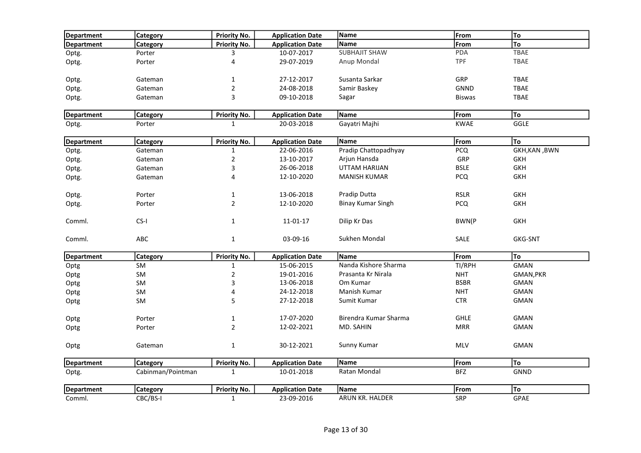| Department        | <b>Category</b>   | <b>Priority No.</b> | <b>Application Date</b> | Name                     | From          | To             |
|-------------------|-------------------|---------------------|-------------------------|--------------------------|---------------|----------------|
| Department        | Category          | <b>Priority No.</b> | <b>Application Date</b> | Name                     | From          | To             |
| Optg.             | Porter            | 3                   | 10-07-2017              | <b>SUBHAJIT SHAW</b>     | <b>PDA</b>    | TBAE           |
| Optg.             | Porter            | 4                   | 29-07-2019              | Anup Mondal              | TPF           | TBAE           |
| Optg.             | Gateman           | $\mathbf{1}$        | 27-12-2017              | Susanta Sarkar           | GRP           | <b>TBAE</b>    |
| Optg.             | Gateman           | $\mathbf 2$         | 24-08-2018              | Samir Baskey             | <b>GNND</b>   | TBAE           |
|                   | Gateman           | 3                   | 09-10-2018              | Sagar                    |               | <b>TBAE</b>    |
| Optg.             |                   |                     |                         |                          | <b>Biswas</b> |                |
| Department        | <b>Category</b>   | <b>Priority No.</b> | <b>Application Date</b> | Name                     | From          | To             |
| Optg.             | Porter            | $\mathbf{1}$        | 20-03-2018              | Gayatri Majhi            | <b>KWAE</b>   | <b>GGLE</b>    |
| <b>Department</b> | <b>Category</b>   | <b>Priority No.</b> | <b>Application Date</b> | Name                     | From          | To             |
| Optg.             | Gateman           | $\mathbf{1}$        | 22-06-2016              | Pradip Chattopadhyay     | <b>PCQ</b>    | GKH, KAN, BWN  |
| Optg.             | Gateman           | $\sqrt{2}$          | 13-10-2017              | Arjun Hansda             | GRP           | <b>GKH</b>     |
| Optg.             | Gateman           | 3                   | 26-06-2018              | UTTAM HARIJAN            | <b>BSLE</b>   | <b>GKH</b>     |
| Optg.             | Gateman           | 4                   | 12-10-2020              | <b>MANISH KUMAR</b>      | <b>PCQ</b>    | <b>GKH</b>     |
| Optg.             | Porter            | 1                   | 13-06-2018              | Pradip Dutta             | <b>RSLR</b>   | <b>GKH</b>     |
| Optg.             | Porter            | $\overline{2}$      | 12-10-2020              | <b>Binay Kumar Singh</b> | <b>PCQ</b>    | <b>GKH</b>     |
|                   |                   |                     |                         |                          |               |                |
| Comml.            | CS-I              | $\mathbf{1}$        | 11-01-17                | Dilip Kr Das             | BWN(P         | <b>GKH</b>     |
| Comml.            | ABC               | $\mathbf{1}$        | 03-09-16                | Sukhen Mondal            | <b>SALE</b>   | <b>GKG-SNT</b> |
| <b>Department</b> | Category          | <b>Priority No.</b> | <b>Application Date</b> | Name                     | From          | To             |
| Optg              | SM                | $\mathbf 1$         | 15-06-2015              | Nanda Kishore Sharma     | TI/RPH        | <b>GMAN</b>    |
| Optg              | SM                | $\mathbf 2$         | 19-01-2016              | Prasanta Kr Nirala       | <b>NHT</b>    | GMAN, PKR      |
| Optg              | SM                | $\mathsf 3$         | 13-06-2018              | Om Kumar                 | <b>BSBR</b>   | <b>GMAN</b>    |
| Optg              | SM                | 4                   | 24-12-2018              | Manish Kumar             | <b>NHT</b>    | <b>GMAN</b>    |
| Optg              | <b>SM</b>         | 5                   | 27-12-2018              | Sumit Kumar              | <b>CTR</b>    | <b>GMAN</b>    |
| Optg              | Porter            | $\mathbf 1$         | 17-07-2020              | Birendra Kumar Sharma    | <b>GHLE</b>   | <b>GMAN</b>    |
| Optg              | Porter            | $\overline{2}$      | 12-02-2021              | MD. SAHIN                | <b>MRR</b>    | <b>GMAN</b>    |
|                   |                   |                     |                         |                          |               |                |
| Optg              | Gateman           | $\mathbf 1$         | 30-12-2021              | Sunny Kumar              | MLV           | <b>GMAN</b>    |
| Department        | <b>Category</b>   | <b>Priority No.</b> | <b>Application Date</b> | Name                     | From          | To             |
| Optg.             | Cabinman/Pointman | $\mathbf{1}$        | 10-01-2018              | Ratan Mondal             | <b>BFZ</b>    | <b>GNND</b>    |
| Department        | <b>Category</b>   | <b>Priority No.</b> | <b>Application Date</b> | Name                     | From          | To             |
| Comml.            | CBC/BS-I          | $\mathbf{1}$        | 23-09-2016              | ARUN KR. HALDER          | <b>SRP</b>    | <b>GPAE</b>    |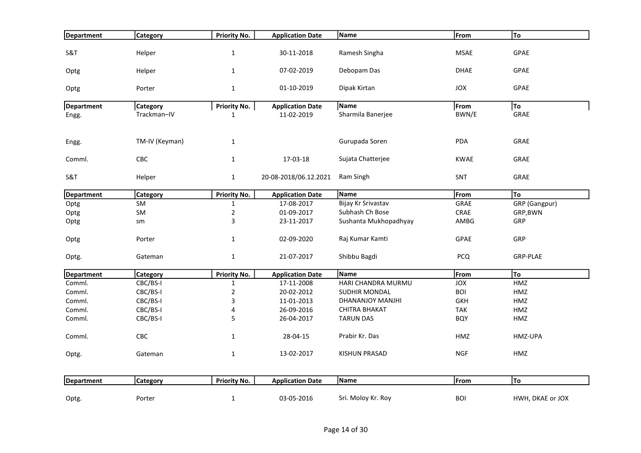| Department        | <b>Category</b> | <b>Priority No.</b> | <b>Application Date</b> | Name                  | From        | To               |
|-------------------|-----------------|---------------------|-------------------------|-----------------------|-------------|------------------|
| S&T               | Helper          | $\mathbf 1$         | 30-11-2018              | Ramesh Singha         | <b>MSAE</b> | GPAE             |
|                   |                 |                     |                         |                       |             |                  |
| Optg              | Helper          | $\mathbf{1}$        | 07-02-2019              | Debopam Das           | <b>DHAE</b> | GPAE             |
| Optg              | Porter          | $\mathbf 1$         | 01-10-2019              | Dipak Kirtan          | JOX         | GPAE             |
| Department        | <b>Category</b> | <b>Priority No.</b> | <b>Application Date</b> | Name                  | From        | To               |
| Engg.             | Trackman-IV     | $\mathbf{1}$        | 11-02-2019              | Sharmila Banerjee     | BWN/E       | GRAE             |
| Engg.             | TM-IV (Keyman)  | $1\,$               |                         | Gurupada Soren        | PDA         | GRAE             |
| Comml.            | CBC             | $\mathbf{1}$        | 17-03-18                | Sujata Chatterjee     | <b>KWAE</b> | GRAE             |
| S&T               | Helper          | $\mathbf 1$         | 20-08-2018/06.12.2021   | Ram Singh             | SNT         | GRAE             |
| Department        | <b>Category</b> | <b>Priority No.</b> | <b>Application Date</b> | Name                  | From        | To               |
| Optg              | SM              | $\mathbf{1}$        | 17-08-2017              | Bijay Kr Srivastav    | GRAE        | GRP (Gangpur)    |
| Optg              | SM              | $\sqrt{2}$          | 01-09-2017              | Subhash Ch Bose       | CRAE        | GRP, BWN         |
| Optg              | sm              | 3                   | 23-11-2017              | Sushanta Mukhopadhyay | AMBG        | GRP              |
| Optg              | Porter          | $\mathbf{1}$        | 02-09-2020              | Raj Kumar Kamti       | GPAE        | GRP              |
| Optg.             | Gateman         | $\mathbf 1$         | 21-07-2017              | Shibbu Bagdi          | <b>PCQ</b>  | <b>GRP-PLAE</b>  |
| <b>Department</b> | <b>Category</b> | <b>Priority No.</b> | <b>Application Date</b> | Name                  | From        | To               |
| Comml.            | CBC/BS-I        | $\mathbf 1$         | 17-11-2008              | HARI CHANDRA MURMU    | <b>JOX</b>  | HMZ              |
| Comml.            | CBC/BS-I        | $\mathbf 2$         | 20-02-2012              | SUDHIR MONDAL         | <b>BOI</b>  | HMZ              |
| Comml.            | CBC/BS-I        | 3                   | 11-01-2013              | DHANANJOY MANJHI      | <b>GKH</b>  | HMZ              |
| Comml.            | CBC/BS-I        | 4                   | 26-09-2016              | CHITRA BHAKAT         | <b>TAK</b>  | HMZ              |
| Comml.            | CBC/BS-I        | 5                   | 26-04-2017              | <b>TARUN DAS</b>      | <b>BQY</b>  | HMZ              |
| Comml.            | CBC             | $\mathbf 1$         | 28-04-15                | Prabir Kr. Das        | HMZ         | HMZ-UPA          |
| Optg.             | Gateman         | $\mathbf{1}$        | 13-02-2017              | <b>KISHUN PRASAD</b>  | <b>NGF</b>  | HMZ              |
| Department        | <b>Category</b> | <b>Priority No.</b> | <b>Application Date</b> | Name                  | From        | To               |
| Optg.             | Porter          | $\mathbf 1$         | 03-05-2016              | Sri. Moloy Kr. Roy    | <b>BOI</b>  | HWH, DKAE or JOX |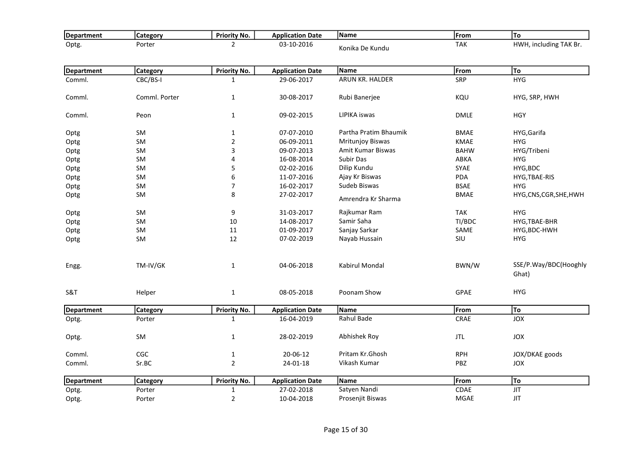| <b>Department</b> | <b>Category</b> | <b>Priority No.</b> | <b>Application Date</b> | Name                  | From        | <b>To</b>                      |
|-------------------|-----------------|---------------------|-------------------------|-----------------------|-------------|--------------------------------|
| Optg.             | Porter          | $\overline{2}$      | 03-10-2016              | Konika De Kundu       | <b>TAK</b>  | HWH, including TAK Br.         |
|                   |                 |                     |                         |                       |             |                                |
| Department        | <b>Category</b> | <b>Priority No.</b> | <b>Application Date</b> | Name                  | From        | To                             |
| Comml.            | CBC/BS-I        | $\mathbf{1}$        | 29-06-2017              | ARUN KR. HALDER       | SRP         | <b>HYG</b>                     |
|                   |                 |                     |                         |                       |             |                                |
| Comml.            | Comml. Porter   | $\mathbf{1}$        | 30-08-2017              | Rubi Banerjee         | KQU         | HYG, SRP, HWH                  |
| Comml.            | Peon            | $\mathbf{1}$        | 09-02-2015              | LIPIKA iswas          | <b>DMLE</b> | <b>HGY</b>                     |
| Optg              | SM              | $\mathbf{1}$        | 07-07-2010              | Partha Pratim Bhaumik | <b>BMAE</b> | HYG, Garifa                    |
| Optg              | SM              | $\overline{2}$      | 06-09-2011              | Mritunjoy Biswas      | <b>KMAE</b> | <b>HYG</b>                     |
| Optg              | <b>SM</b>       | 3                   | 09-07-2013              | Amit Kumar Biswas     | <b>BAHW</b> | HYG/Tribeni                    |
| Optg              | SM              | 4                   | 16-08-2014              | Subir Das             | ABKA        | <b>HYG</b>                     |
| Optg              | SM              | 5                   | 02-02-2016              | Dilip Kundu           | SYAE        | HYG, BDC                       |
| Optg              | SM              | 6                   | 11-07-2016              | Ajay Kr Biswas        | <b>PDA</b>  | HYG, TBAE-RIS                  |
| Optg              | SM              | $\overline{7}$      | 16-02-2017              | Sudeb Biswas          | <b>BSAE</b> | <b>HYG</b>                     |
| Optg              | SM              | 8                   | 27-02-2017              | Amrendra Kr Sharma    | <b>BMAE</b> | HYG,CNS,CGR,SHE,HWH            |
| Optg              | SM              | $\boldsymbol{9}$    | 31-03-2017              | Rajkumar Ram          | <b>TAK</b>  | <b>HYG</b>                     |
| Optg              | <b>SM</b>       | 10                  | 14-08-2017              | Samir Saha            | TI/BDC      | HYG, TBAE-BHR                  |
| Optg              | SM              | 11                  | 01-09-2017              | Sanjay Sarkar         | SAME        | HYG, BDC-HWH                   |
| Optg              | SM              | 12                  | 07-02-2019              | Nayab Hussain         | SIU         | <b>HYG</b>                     |
| Engg.             | TM-IV/GK        | $\mathbf{1}$        | 04-06-2018              | Kabirul Mondal        | BWN/W       | SSE/P.Way/BDC(Hooghly<br>Ghat) |
| S&T               | Helper          | $\mathbf{1}$        | 08-05-2018              | Poonam Show           | GPAE        | <b>HYG</b>                     |
| Department        | <b>Category</b> | <b>Priority No.</b> | <b>Application Date</b> | Name                  | From        | To                             |
| Optg.             | Porter          | $\mathbf{1}$        | 16-04-2019              | Rahul Bade            | CRAE        | <b>JOX</b>                     |
| Optg.             | SM              | $\mathbf{1}$        | 28-02-2019              | Abhishek Roy          | <b>JTL</b>  | JOX                            |
| Comml.            | CGC             | $\mathbf{1}$        | 20-06-12                | Pritam Kr.Ghosh       | <b>RPH</b>  | JOX/DKAE goods                 |
| Comml.            | Sr.BC           | $\overline{2}$      | 24-01-18                | Vikash Kumar          | PBZ         | JOX                            |
| <b>Department</b> | <b>Category</b> | <b>Priority No.</b> | <b>Application Date</b> | Name                  | From        | To                             |
| Optg.             | Porter          | $\mathbf{1}$        | 27-02-2018              | Satyen Nandi          | <b>CDAE</b> | <b>JIT</b>                     |
| Optg.             | Porter          | $\overline{2}$      | 10-04-2018              | Prosenjit Biswas      | <b>MGAE</b> | <b>JIT</b>                     |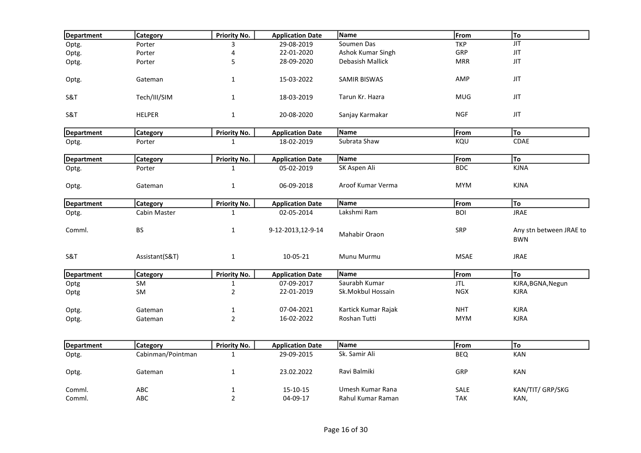| Department        | Category          | <b>Priority No.</b> | <b>Application Date</b> | Name                | From        | To                                    |
|-------------------|-------------------|---------------------|-------------------------|---------------------|-------------|---------------------------------------|
| Optg.             | Porter            | 3                   | 29-08-2019              | Soumen Das          | <b>TKP</b>  | <b>JIT</b>                            |
| Optg.             | Porter            | 4                   | 22-01-2020              | Ashok Kumar Singh   | GRP         | <b>JIT</b>                            |
| Optg.             | Porter            | 5                   | 28-09-2020              | Debasish Mallick    | <b>MRR</b>  | <b>JIT</b>                            |
| Optg.             | Gateman           | $\mathbf{1}$        | 15-03-2022              | <b>SAMIR BISWAS</b> | AMP         | <b>JIT</b>                            |
| S&T               | Tech/III/SIM      | $\mathbf 1$         | 18-03-2019              | Tarun Kr. Hazra     | <b>MUG</b>  | $\sf JIT$                             |
| S&T               | <b>HELPER</b>     | $\mathbf{1}$        | 20-08-2020              | Sanjay Karmakar     | <b>NGF</b>  | <b>JIT</b>                            |
| Department        | Category          | Priority No.        | <b>Application Date</b> | Name                | From        | To                                    |
| Optg.             | Porter            | $\mathbf{1}$        | 18-02-2019              | Subrata Shaw        | KQU         | CDAE                                  |
| <b>Department</b> | Category          | <b>Priority No.</b> | <b>Application Date</b> | Name                | From        | To                                    |
| Optg.             | Porter            | $\mathbf{1}$        | 05-02-2019              | SK Aspen Ali        | <b>BDC</b>  | <b>KJNA</b>                           |
| Optg.             | Gateman           | $\mathbf{1}$        | 06-09-2018              | Aroof Kumar Verma   | <b>MYM</b>  | <b>KJNA</b>                           |
| Department        | Category          | <b>Priority No.</b> | <b>Application Date</b> | Name                | From        | To                                    |
| Optg.             | Cabin Master      | $\mathbf{1}$        | 02-05-2014              | Lakshmi Ram         | <b>BOI</b>  | <b>JRAE</b>                           |
| Comml.            | <b>BS</b>         | $\mathbf{1}$        | 9-12-2013,12-9-14       | Mahabir Oraon       | SRP         | Any stn between JRAE to<br><b>BWN</b> |
| S&T               | Assistant(S&T)    | $\mathbf{1}$        | 10-05-21                | Munu Murmu          | <b>MSAE</b> | <b>JRAE</b>                           |
| <b>Department</b> | Category          | <b>Priority No.</b> | <b>Application Date</b> | Name                | From        | To                                    |
| Optg              | SM                | $\mathbf 1$         | 07-09-2017              | Saurabh Kumar       | JTL         | KJRA, BGNA, Negun                     |
| Optg              | SM                | $\mathbf 2$         | 22-01-2019              | Sk.Mokbul Hossain   | <b>NGX</b>  | <b>KJRA</b>                           |
| Optg.             | Gateman           | $\mathbf{1}$        | 07-04-2021              | Kartick Kumar Rajak | <b>NHT</b>  | <b>KJRA</b>                           |
| Optg.             | Gateman           | $\overline{2}$      | 16-02-2022              | Roshan Tutti        | <b>MYM</b>  | <b>KJRA</b>                           |
| <b>Department</b> | Category          | <b>Priority No.</b> | <b>Application Date</b> | Name                | From        | To                                    |
| Optg.             | Cabinman/Pointman | $\mathbf{1}$        | 29-09-2015              | Sk. Samir Ali       | <b>BEQ</b>  | KAN                                   |
| Optg.             | Gateman           | $\mathbf{1}$        | 23.02.2022              | Ravi Balmiki        | GRP         | KAN                                   |
| Comml.            | ABC               | $\mathbf{1}$        | 15-10-15                | Umesh Kumar Rana    | <b>SALE</b> | KAN/TIT/ GRP/SKG                      |
| Comml.            | ABC               | $\overline{2}$      | 04-09-17                | Rahul Kumar Raman   | <b>TAK</b>  | KAN,                                  |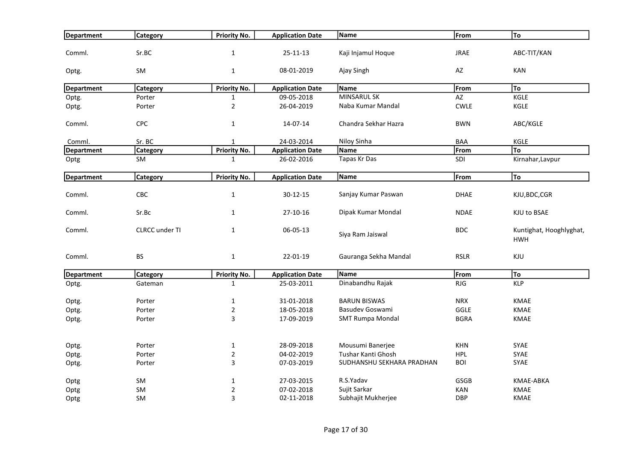| Department        | <b>Category</b>       | <b>Priority No.</b> | <b>Application Date</b> | Name                      | From        | To                                    |
|-------------------|-----------------------|---------------------|-------------------------|---------------------------|-------------|---------------------------------------|
| Comml.            | Sr.BC                 | $\mathbf 1$         | $25 - 11 - 13$          | Kaji Injamul Hoque        | <b>JRAE</b> | ABC-TIT/KAN                           |
| Optg.             | SM                    | $\mathbf{1}$        | 08-01-2019              | Ajay Singh                | AZ          | KAN                                   |
| Department        | <b>Category</b>       | <b>Priority No.</b> | <b>Application Date</b> | Name                      | From        | To                                    |
| Optg.             | Porter                | $\mathbf{1}$        | 09-05-2018              | <b>MINSARUL SK</b>        | AZ          | KGLE                                  |
| Optg.             | Porter                | $\overline{2}$      | 26-04-2019              | Naba Kumar Mandal         | <b>CWLE</b> | KGLE                                  |
| Comml.            | CPC                   | $\mathbf{1}$        | 14-07-14                | Chandra Sekhar Hazra      | <b>BWN</b>  | ABC/KGLE                              |
| Comml.            | Sr. BC                | $\mathbf{1}$        | 24-03-2014              | Niloy Sinha               | BAA         | KGLE                                  |
| Department        | Category              | <b>Priority No.</b> | <b>Application Date</b> | <b>Name</b>               | From        | To                                    |
| Optg              | SM                    | $\mathbf{1}$        | 26-02-2016              | Tapas Kr Das              | SDI         | Kirnahar, Lavpur                      |
| <b>Department</b> | Category              | <b>Priority No.</b> | <b>Application Date</b> | Name                      | From        | To                                    |
|                   |                       |                     |                         |                           |             |                                       |
| Comml.            | CBC                   | $\mathbf{1}$        | 30-12-15                | Sanjay Kumar Paswan       | <b>DHAE</b> | KJU, BDC, CGR                         |
| Comml.            | Sr.Bc                 | $\mathbf{1}$        | 27-10-16                | Dipak Kumar Mondal        | <b>NDAE</b> | KJU to BSAE                           |
| Comml.            | <b>CLRCC</b> under TI | $\mathbf{1}$        | 06-05-13                | Siya Ram Jaiswal          | <b>BDC</b>  | Kuntighat, Hooghlyghat,<br><b>HWH</b> |
| Comml.            | <b>BS</b>             | $\mathbf{1}$        | 22-01-19                | Gauranga Sekha Mandal     | <b>RSLR</b> | KJU                                   |
| <b>Department</b> | <b>Category</b>       | <b>Priority No.</b> | <b>Application Date</b> | Name                      | From        | To                                    |
| Optg.             | Gateman               | $\mathbf{1}$        | 25-03-2011              | Dinabandhu Rajak          | <b>RJG</b>  | <b>KLP</b>                            |
| Optg.             | Porter                | $\mathbf{1}$        | 31-01-2018              | <b>BARUN BISWAS</b>       | <b>NRX</b>  | <b>KMAE</b>                           |
| Optg.             | Porter                | $\overline{2}$      | 18-05-2018              | Basudev Goswami           | GGLE        | <b>KMAE</b>                           |
| Optg.             | Porter                | 3                   | 17-09-2019              | <b>SMT Rumpa Mondal</b>   | <b>BGRA</b> | <b>KMAE</b>                           |
| Optg.             | Porter                | $\mathbf{1}$        | 28-09-2018              | Mousumi Banerjee          | <b>KHN</b>  | <b>SYAE</b>                           |
| Optg.             | Porter                | $\overline{2}$      | 04-02-2019              | Tushar Kanti Ghosh        | <b>HPL</b>  | SYAE                                  |
| Optg.             | Porter                | 3                   | 07-03-2019              | SUDHANSHU SEKHARA PRADHAN | <b>BOI</b>  | SYAE                                  |
| Optg              | SM                    | $\mathbf{1}$        | 27-03-2015              | R.S.Yadav                 | <b>GSGB</b> | <b>KMAE-ABKA</b>                      |
| Optg              | SM                    | $\overline{2}$      | 07-02-2018              | Sujit Sarkar              | <b>KAN</b>  | <b>KMAE</b>                           |
| Optg              | SM                    | 3                   | 02-11-2018              | Subhajit Mukherjee        | <b>DBP</b>  | KMAE                                  |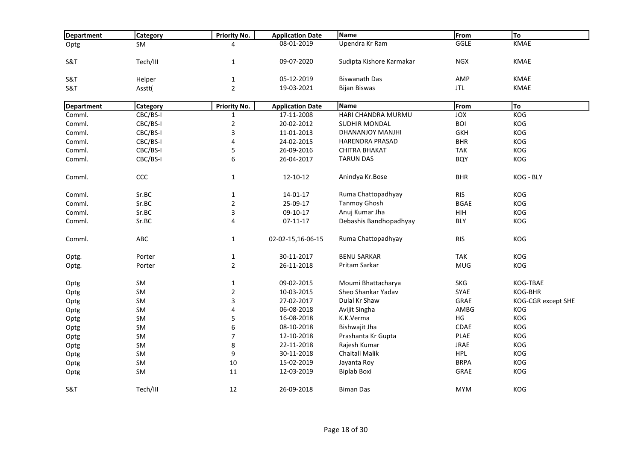| Department        | <b>Category</b> | Priority No.            | <b>Application Date</b> | Name                     | From        | To                 |
|-------------------|-----------------|-------------------------|-------------------------|--------------------------|-------------|--------------------|
| Optg              | <b>SM</b>       | 4                       | 08-01-2019              | Upendra Kr Ram           | GGLE        | KMAE               |
|                   |                 |                         |                         |                          |             |                    |
| <b>S&amp;T</b>    | Tech/III        | $\mathbf{1}$            | 09-07-2020              | Sudipta Kishore Karmakar | <b>NGX</b>  | <b>KMAE</b>        |
| S&T               | Helper          | $\mathbf 1$             | 05-12-2019              | <b>Biswanath Das</b>     | AMP         | <b>KMAE</b>        |
| S&T               | Asstt(          | $\overline{2}$          | 19-03-2021              | <b>Bijan Biswas</b>      | <b>JTL</b>  | <b>KMAE</b>        |
|                   |                 |                         |                         |                          |             |                    |
| <b>Department</b> | Category        | Priority No.            | <b>Application Date</b> | Name                     | From        | To                 |
| Comml.            | CBC/BS-I        | $\mathbf{1}$            | 17-11-2008              | HARI CHANDRA MURMU       | JOX         | KOG                |
| Comml.            | CBC/BS-I        | $\overline{2}$          | 20-02-2012              | <b>SUDHIR MONDAL</b>     | <b>BOI</b>  | KOG                |
| Comml.            | CBC/BS-I        | 3                       | 11-01-2013              | DHANANJOY MANJHI         | <b>GKH</b>  | KOG                |
| Comml.            | CBC/BS-I        | $\overline{\mathbf{4}}$ | 24-02-2015              | <b>HARENDRA PRASAD</b>   | <b>BHR</b>  | KOG                |
| Comml.            | CBC/BS-I        | 5                       | 26-09-2016              | <b>CHITRA BHAKAT</b>     | <b>TAK</b>  | KOG                |
| Comml.            | CBC/BS-I        | 6                       | 26-04-2017              | <b>TARUN DAS</b>         | <b>BQY</b>  | KOG                |
|                   |                 |                         |                         |                          |             |                    |
| Comml.            | CCC             | $\mathbf{1}$            | 12-10-12                | Anindya Kr.Bose          | <b>BHR</b>  | KOG - BLY          |
|                   |                 |                         |                         |                          |             |                    |
| Comml.            | Sr.BC           | $\mathbf 1$             | $14 - 01 - 17$          | Ruma Chattopadhyay       | <b>RIS</b>  | KOG                |
| Comml.            | Sr.BC           | $\overline{2}$          | 25-09-17                | <b>Tanmoy Ghosh</b>      | <b>BGAE</b> | <b>KOG</b>         |
| Comml.            | Sr.BC           | 3                       | 09-10-17                | Anuj Kumar Jha           | HIH         | KOG                |
| Comml.            | Sr.BC           | 4                       | $07 - 11 - 17$          | Debashis Bandhopadhyay   | <b>BLY</b>  | KOG                |
| Comml.            | ABC             | $\mathbf{1}$            | 02-02-15,16-06-15       | Ruma Chattopadhyay       | <b>RIS</b>  | KOG                |
| Optg.             | Porter          | $\mathbf{1}$            | 30-11-2017              | <b>BENU SARKAR</b>       | <b>TAK</b>  | KOG                |
|                   | Porter          | $\overline{2}$          | 26-11-2018              | Pritam Sarkar            | <b>MUG</b>  | KOG                |
| Optg.             |                 |                         |                         |                          |             |                    |
| Optg              | SM              | $\mathbf{1}$            | 09-02-2015              | Moumi Bhattacharya       | <b>SKG</b>  | KOG-TBAE           |
| Optg              | SM              | $\overline{2}$          | 10-03-2015              | Sheo Shankar Yadav       | SYAE        | KOG-BHR            |
| Optg              | SM              | $\mathsf 3$             | 27-02-2017              | Dulal Kr Shaw            | GRAE        | KOG-CGR except SHE |
| Optg              | SM              | 4                       | 06-08-2018              | Avijit Singha            | AMBG        | KOG                |
| Optg              | SM              | 5                       | 16-08-2018              | K.K.Verma                | HG          | KOG                |
| Optg              | SM              | $\boldsymbol{6}$        | 08-10-2018              | Bishwajit Jha            | <b>CDAE</b> | KOG                |
| Optg              | SM              | $\overline{7}$          | 12-10-2018              | Prashanta Kr Gupta       | PLAE        | KOG                |
| Optg              | SM              | 8                       | 22-11-2018              | Rajesh Kumar             | <b>JRAE</b> | KOG                |
| Optg              | SM              | 9                       | 30-11-2018              | Chaitali Malik           | <b>HPL</b>  | KOG                |
| Optg              | SM              | 10                      | 15-02-2019              | Jayanta Roy              | <b>BRPA</b> | KOG                |
| Optg              | SM              | 11                      | 12-03-2019              | <b>Biplab Boxi</b>       | GRAE        | <b>KOG</b>         |
|                   |                 |                         |                         |                          |             |                    |
| S&T               | Tech/III        | 12                      | 26-09-2018              | <b>Biman Das</b>         | <b>MYM</b>  | KOG                |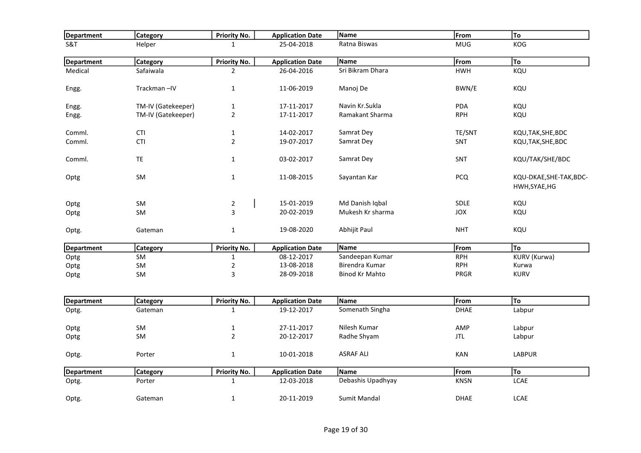| Department        | <b>Category</b>    | Priority No.        | <b>Application Date</b> | Name                  | From        | To                                       |
|-------------------|--------------------|---------------------|-------------------------|-----------------------|-------------|------------------------------------------|
| S&T               | Helper             | $\mathbf{1}$        | 25-04-2018              | Ratna Biswas          | <b>MUG</b>  | KOG                                      |
| <b>Department</b> | <b>Category</b>    | Priority No.        | <b>Application Date</b> | Name                  | From        | <b>To</b>                                |
| Medical           | Safaiwala          | $\overline{2}$      | 26-04-2016              | Sri Bikram Dhara      | <b>HWH</b>  | KQU                                      |
| Engg.             | Trackman-IV        | $\mathbf{1}$        | 11-06-2019              | Manoj De              | BWN/E       | KQU                                      |
| Engg.             | TM-IV (Gatekeeper) | $\mathbf 1$         | 17-11-2017              | Navin Kr.Sukla        | PDA         | KQU                                      |
| Engg.             | TM-IV (Gatekeeper) | $\overline{2}$      | 17-11-2017              | Ramakant Sharma       | <b>RPH</b>  | KQU                                      |
| Comml.            | <b>CTI</b>         | $\mathbf{1}$        | 14-02-2017              | Samrat Dey            | TE/SNT      | KQU, TAK, SHE, BDC                       |
| Comml.            | <b>CTI</b>         | $\overline{2}$      | 19-07-2017              | Samrat Dey            | SNT         | KQU, TAK, SHE, BDC                       |
| Comml.            | <b>TE</b>          | $\mathbf{1}$        | 03-02-2017              | Samrat Dey            | SNT         | KQU/TAK/SHE/BDC                          |
| Optg              | SM                 | $\mathbf 1$         | 11-08-2015              | Sayantan Kar          | <b>PCQ</b>  | KQU-DKAE, SHE-TAK, BDC-<br>HWH, SYAE, HG |
| Optg              | SM                 | $\overline{2}$      | 15-01-2019              | Md Danish Iqbal       | SDLE        | KQU                                      |
| Optg              | <b>SM</b>          | 3                   | 20-02-2019              | Mukesh Kr sharma      | <b>JOX</b>  | KQU                                      |
| Optg.             | Gateman            | $\mathbf{1}$        | 19-08-2020              | Abhijit Paul          | <b>NHT</b>  | KQU                                      |
| <b>Department</b> | <b>Category</b>    | Priority No.        | <b>Application Date</b> | <b>Name</b>           | From        | To                                       |
| Optg              | SM                 | $\mathbf{1}$        | 08-12-2017              | Sandeepan Kumar       | <b>RPH</b>  | KURV (Kurwa)                             |
| Optg              | SM                 | $\overline{2}$      | 13-08-2018              | Birendra Kumar        | <b>RPH</b>  | Kurwa                                    |
| Optg              | SM                 | 3                   | 28-09-2018              | <b>Binod Kr Mahto</b> | PRGR        | <b>KURV</b>                              |
| <b>Department</b> | Category           | <b>Priority No.</b> | <b>Application Date</b> | <b>Name</b>           | From        | To                                       |
| Optg.             | Gateman            | $\mathbf{1}$        | 19-12-2017              | Somenath Singha       | <b>DHAE</b> | Labpur                                   |
|                   |                    |                     |                         |                       |             |                                          |
| Optg              | SM                 | $\mathbf{1}$        | 27-11-2017              | Nilesh Kumar          | AMP         | Labpur                                   |
| Optg              | SM                 | $\overline{2}$      | 20-12-2017              | Radhe Shyam           | JTL         | Labpur                                   |
| Optg.             | Porter             | $\mathbf 1$         | 10-01-2018              | <b>ASRAF ALI</b>      | KAN         | <b>LABPUR</b>                            |
| <b>Department</b> | <b>Category</b>    | <b>Priority No.</b> | <b>Application Date</b> | Name                  | From        | To                                       |
| Optg.             | Porter             | $\mathbf{1}$        | 12-03-2018              | Debashis Upadhyay     | <b>KNSN</b> | <b>LCAE</b>                              |
| Optg.             | Gateman            | $\mathbf{1}$        | 20-11-2019              | Sumit Mandal          | <b>DHAE</b> | <b>LCAE</b>                              |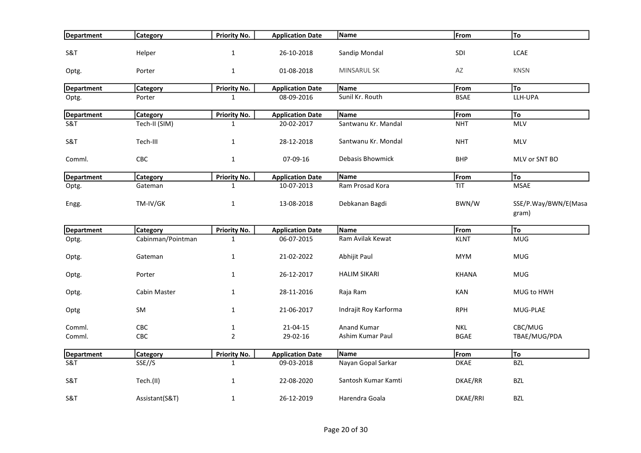| Department        | <b>Category</b>   | <b>Priority No.</b> | <b>Application Date</b> | Name                  | From          | To                            |
|-------------------|-------------------|---------------------|-------------------------|-----------------------|---------------|-------------------------------|
| S&T               | Helper            | $\mathbf{1}$        | 26-10-2018              | Sandip Mondal         | SDI           | <b>LCAE</b>                   |
| Optg.             | Porter            | $\mathbf 1$         | 01-08-2018              | <b>MINSARUL SK</b>    | $\mathsf{AZ}$ | <b>KNSN</b>                   |
| <b>Department</b> | <b>Category</b>   | Priority No.        | <b>Application Date</b> | Name                  | From          | To                            |
| Optg.             | Porter            | $\mathbf{1}$        | 08-09-2016              | Sunil Kr. Routh       | <b>BSAE</b>   | LLH-UPA                       |
| <b>Department</b> | Category          | Priority No.        | <b>Application Date</b> | Name                  | From          | To                            |
| S&T               | Tech-II (SIM)     | $\mathbf{1}$        | 20-02-2017              | Santwanu Kr. Mandal   | <b>NHT</b>    | <b>MLV</b>                    |
| S&T               | Tech-III          | $\mathbf{1}$        | 28-12-2018              | Santwanu Kr. Mondal   | <b>NHT</b>    | <b>MLV</b>                    |
| Comml.            | CBC               | $\mathbf 1$         | 07-09-16                | Debasis Bhowmick      | <b>BHP</b>    | MLV or SNT BO                 |
| <b>Department</b> | <b>Category</b>   | <b>Priority No.</b> | <b>Application Date</b> | Name                  | From          | To                            |
| Optg.             | Gateman           | $\mathbf{1}$        | 10-07-2013              | Ram Prosad Kora       | TIT           | <b>MSAE</b>                   |
| Engg.             | TM-IV/GK          | $\mathbf{1}$        | 13-08-2018              | Debkanan Bagdi        | BWN/W         | SSE/P.Way/BWN/E(Masa<br>gram) |
| Department        | <b>Category</b>   | Priority No.        | <b>Application Date</b> | Name                  | From          | To                            |
| Optg.             | Cabinman/Pointman | $\mathbf{1}$        | 06-07-2015              | Ram Avilak Kewat      | <b>KLNT</b>   | <b>MUG</b>                    |
| Optg.             | Gateman           | $\mathbf{1}$        | 21-02-2022              | Abhijit Paul          | <b>MYM</b>    | <b>MUG</b>                    |
| Optg.             | Porter            | $\mathbf{1}$        | 26-12-2017              | <b>HALIM SIKARI</b>   | <b>KHANA</b>  | <b>MUG</b>                    |
| Optg.             | Cabin Master      | $\mathbf{1}$        | 28-11-2016              | Raja Ram              | KAN           | MUG to HWH                    |
| Optg              | SM                | $\mathbf{1}$        | 21-06-2017              | Indrajit Roy Karforma | <b>RPH</b>    | MUG-PLAE                      |
| Comml.            | CBC               | $\mathbf{1}$        | 21-04-15                | Anand Kumar           | <b>NKL</b>    | CBC/MUG                       |
| Comml.            | CBC               | $\mathbf 2$         | 29-02-16                | Ashim Kumar Paul      | <b>BGAE</b>   | TBAE/MUG/PDA                  |
| <b>Department</b> | <b>Category</b>   | <b>Priority No.</b> | <b>Application Date</b> | Name                  | From          | To                            |
| S&T               | SSE//S            | $\mathbf{1}$        | 09-03-2018              | Nayan Gopal Sarkar    | <b>DKAE</b>   | <b>BZL</b>                    |
| S&T               | Tech.(II)         | $\mathbf{1}$        | 22-08-2020              | Santosh Kumar Kamti   | DKAE/RR       | <b>BZL</b>                    |
| S&T               | Assistant(S&T)    | $\mathbf{1}$        | 26-12-2019              | Harendra Goala        | DKAE/RRI      | <b>BZL</b>                    |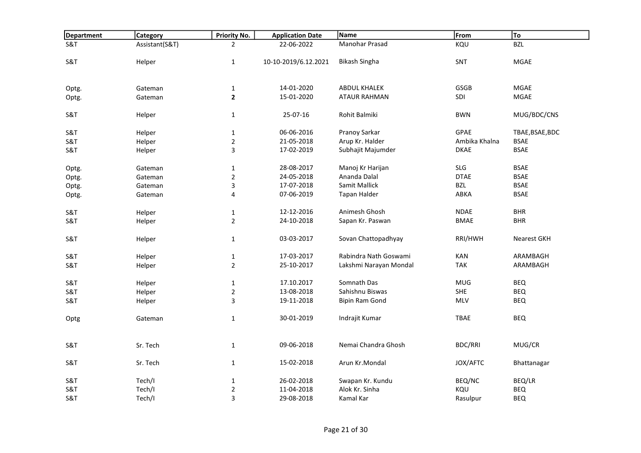| <b>Department</b>                | Category         | <b>Priority No.</b>           | <b>Application Date</b> | Name                   | From           | To                             |
|----------------------------------|------------------|-------------------------------|-------------------------|------------------------|----------------|--------------------------------|
| S&T                              | Assistant(S&T)   | $\overline{2}$                | 22-06-2022              | Manohar Prasad         | KQU            | <b>BZL</b>                     |
|                                  |                  |                               |                         |                        |                |                                |
| <b>S&amp;T</b>                   | Helper           | $\mathbf 1$                   | 10-10-2019/6.12.2021    | <b>Bikash Singha</b>   | <b>SNT</b>     | <b>MGAE</b>                    |
|                                  |                  |                               |                         |                        |                |                                |
| Optg.                            | Gateman          | $\mathbf{1}$                  | 14-01-2020              | <b>ABDUL KHALEK</b>    | GSGB           | <b>MGAE</b>                    |
| Optg.                            | Gateman          | $\overline{2}$                | 15-01-2020              | <b>ATAUR RAHMAN</b>    | SDI            | <b>MGAE</b>                    |
| S&T                              | Helper           | $\mathbf{1}$                  | 25-07-16                | Rohit Balmiki          | <b>BWN</b>     | MUG/BDC/CNS                    |
|                                  |                  |                               | 06-06-2016              | Pranoy Sarkar          | <b>GPAE</b>    |                                |
| <b>S&amp;T</b><br><b>S&amp;T</b> | Helper<br>Helper | $\mathbf 1$<br>$\overline{2}$ | 21-05-2018              | Arup Kr. Halder        | Ambika Khalna  | TBAE, BSAE, BDC<br><b>BSAE</b> |
| S&T                              | Helper           | $\mathbf{3}$                  | 17-02-2019              | Subhajit Majumder      | <b>DKAE</b>    | <b>BSAE</b>                    |
|                                  |                  |                               |                         |                        |                |                                |
| Optg.                            | Gateman          | $\mathbf{1}$                  | 28-08-2017              | Manoj Kr Harijan       | <b>SLG</b>     | <b>BSAE</b>                    |
| Optg.                            | Gateman          | $\overline{2}$                | 24-05-2018              | Ananda Dalal           | <b>DTAE</b>    | <b>BSAE</b>                    |
| Optg.                            | Gateman          | $\mathbf{3}$                  | 17-07-2018              | Samit Mallick          | BZL            | <b>BSAE</b>                    |
| Optg.                            | Gateman          | 4                             | 07-06-2019              | <b>Tapan Halder</b>    | ABKA           | <b>BSAE</b>                    |
| <b>S&amp;T</b>                   | Helper           | $\mathbf{1}$                  | 12-12-2016              | Animesh Ghosh          | <b>NDAE</b>    | <b>BHR</b>                     |
| <b>S&amp;T</b>                   | Helper           | $\overline{2}$                | 24-10-2018              | Sapan Kr. Paswan       | <b>BMAE</b>    | <b>BHR</b>                     |
| S&T                              | Helper           | $\mathbf 1$                   | 03-03-2017              | Sovan Chattopadhyay    | RRI/HWH        | <b>Nearest GKH</b>             |
| <b>S&amp;T</b>                   | Helper           | $\mathbf 1$                   | 17-03-2017              | Rabindra Nath Goswami  | KAN            | ARAMBAGH                       |
| S&T                              | Helper           | $\overline{2}$                | 25-10-2017              | Lakshmi Narayan Mondal | <b>TAK</b>     | ARAMBAGH                       |
| S&T                              | Helper           | $\mathbf 1$                   | 17.10.2017              | Somnath Das            | <b>MUG</b>     | <b>BEQ</b>                     |
| <b>S&amp;T</b>                   | Helper           | $\overline{2}$                | 13-08-2018              | Sahishnu Biswas        | SHE            | <b>BEQ</b>                     |
| S&T                              | Helper           | $\mathbf{3}$                  | 19-11-2018              | Bipin Ram Gond         | <b>MLV</b>     | BEQ                            |
|                                  |                  |                               |                         |                        |                |                                |
| Optg                             | Gateman          | $\mathbf{1}$                  | 30-01-2019              | Indrajit Kumar         | <b>TBAE</b>    | <b>BEQ</b>                     |
|                                  |                  |                               |                         |                        |                |                                |
| S&T                              | Sr. Tech         | $\mathbf{1}$                  | 09-06-2018              | Nemai Chandra Ghosh    | <b>BDC/RRI</b> | MUG/CR                         |
| <b>S&amp;T</b>                   | Sr. Tech         | $\mathbf{1}$                  | 15-02-2018              | Arun Kr.Mondal         | JOX/AFTC       | Bhattanagar                    |
| <b>S&amp;T</b>                   | Tech/I           | $\mathbf{1}$                  | 26-02-2018              | Swapan Kr. Kundu       | BEQ/NC         | BEQ/LR                         |
| <b>S&amp;T</b>                   | Tech/I           | $\mathbf 2$                   | 11-04-2018              | Alok Kr. Sinha         | KQU            | <b>BEQ</b>                     |
| S&T                              | Tech/I           | 3                             | 29-08-2018              | Kamal Kar              | Rasulpur       | <b>BEQ</b>                     |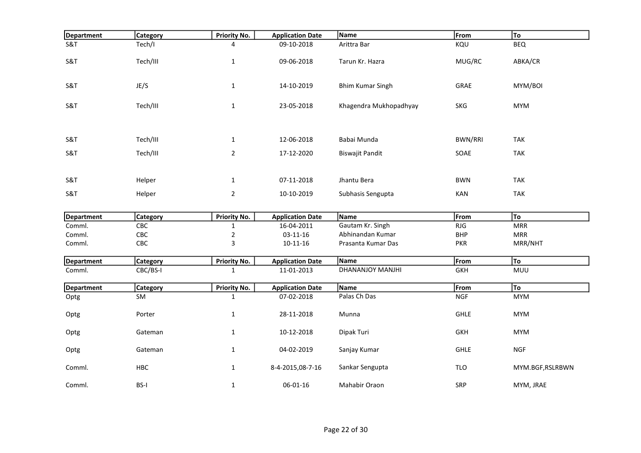| <b>Department</b>           | <b>Category</b>        | <b>Priority No.</b>                 | <b>Application Date</b>               | Name                    | From               | To              |
|-----------------------------|------------------------|-------------------------------------|---------------------------------------|-------------------------|--------------------|-----------------|
| <b>S&amp;T</b>              | Tech/I                 | 4                                   | 09-10-2018                            | Arittra Bar             | KQU                | <b>BEQ</b>      |
|                             |                        |                                     |                                       |                         |                    |                 |
| <b>S&amp;T</b>              | Tech/III               | $\mathbf{1}$                        | 09-06-2018                            | Tarun Kr. Hazra         | MUG/RC             | ABKA/CR         |
|                             |                        |                                     |                                       |                         |                    |                 |
| <b>S&amp;T</b>              | JE/S                   | $\mathbf 1$                         | 14-10-2019                            | <b>Bhim Kumar Singh</b> | GRAE               | MYM/BOI         |
|                             |                        |                                     |                                       |                         |                    |                 |
| S&T                         | Tech/III               | $\mathbf{1}$                        | 23-05-2018                            | Khagendra Mukhopadhyay  | <b>SKG</b>         | <b>MYM</b>      |
|                             |                        |                                     |                                       |                         |                    |                 |
|                             |                        |                                     |                                       |                         |                    |                 |
|                             |                        |                                     |                                       |                         |                    |                 |
| S&T                         | Tech/III               | $\mathbf{1}$                        | 12-06-2018                            | Babai Munda             | <b>BWN/RRI</b>     | <b>TAK</b>      |
| S&T                         | Tech/III               | $\overline{2}$                      | 17-12-2020                            | <b>Biswajit Pandit</b>  | SOAE               | <b>TAK</b>      |
|                             |                        |                                     |                                       |                         |                    |                 |
|                             |                        |                                     |                                       |                         |                    |                 |
| S&T                         | Helper                 | $\mathbf 1$                         | 07-11-2018                            | Jhantu Bera             | <b>BWN</b>         | <b>TAK</b>      |
| S&T                         | Helper                 | $\overline{2}$                      | 10-10-2019                            | Subhasis Sengupta       | KAN                | <b>TAK</b>      |
|                             |                        |                                     |                                       |                         |                    |                 |
|                             |                        |                                     |                                       | Name                    |                    | To              |
| <b>Department</b><br>Comml. | <b>Category</b><br>CBC | <b>Priority No.</b><br>$\mathbf{1}$ | <b>Application Date</b><br>16-04-2011 | Gautam Kr. Singh        | From<br><b>RJG</b> | <b>MRR</b>      |
| Comml.                      | CBC                    | $\mathbf 2$                         | $03 - 11 - 16$                        | Abhinandan Kumar        | <b>BHP</b>         | <b>MRR</b>      |
| Comml.                      | CBC                    | 3                                   | $10 - 11 - 16$                        | Prasanta Kumar Das      | <b>PKR</b>         | MRR/NHT         |
|                             |                        |                                     |                                       |                         |                    |                 |
| <b>Department</b>           | <b>Category</b>        | <b>Priority No.</b>                 | <b>Application Date</b>               | Name                    | From               | To              |
| Comml.                      | CBC/BS-I               | $\mathbf{1}$                        | 11-01-2013                            | DHANANJOY MANJHI        | <b>GKH</b>         | <b>MUU</b>      |
|                             |                        |                                     |                                       |                         |                    |                 |
| <b>Department</b>           | <b>Category</b>        | <b>Priority No.</b>                 | <b>Application Date</b>               | Name                    | From               | To              |
| Optg                        | SM                     | $\mathbf 1$                         | 07-02-2018                            | Palas Ch Das            | <b>NGF</b>         | <b>MYM</b>      |
|                             |                        |                                     |                                       |                         | <b>GHLE</b>        |                 |
| Optg                        | Porter                 | $\mathbf{1}$                        | 28-11-2018                            | Munna                   |                    | <b>MYM</b>      |
| Optg                        | Gateman                | $\mathbf{1}$                        | 10-12-2018                            | Dipak Turi              | <b>GKH</b>         | <b>MYM</b>      |
|                             |                        |                                     |                                       |                         |                    |                 |
| Optg                        | Gateman                | $\mathbf{1}$                        | 04-02-2019                            | Sanjay Kumar            | <b>GHLE</b>        | <b>NGF</b>      |
|                             |                        |                                     |                                       |                         |                    |                 |
| Comml.                      | <b>HBC</b>             | $\mathbf 1$                         | 8-4-2015,08-7-16                      | Sankar Sengupta         | <b>TLO</b>         | MYM.BGF,RSLRBWN |
|                             |                        |                                     |                                       |                         |                    |                 |
| Comml.                      | <b>BS-I</b>            | $\mathbf 1$                         | 06-01-16                              | Mahabir Oraon           | SRP                | MYM, JRAE       |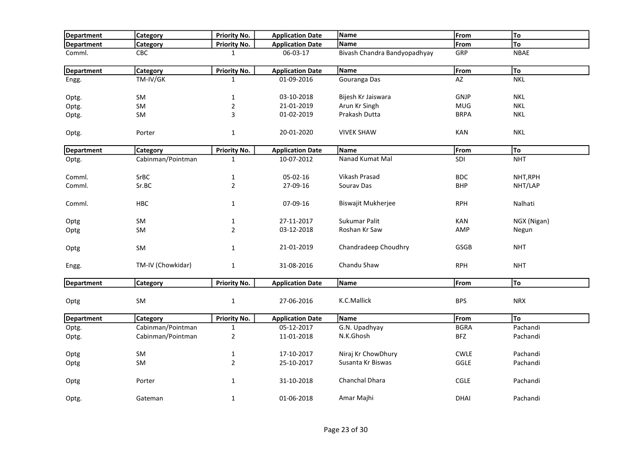| Department        | <b>Category</b>   | <b>Priority No.</b> | <b>Application Date</b> | Name                         | From        | To          |
|-------------------|-------------------|---------------------|-------------------------|------------------------------|-------------|-------------|
| Department        | Category          | <b>Priority No.</b> | <b>Application Date</b> | Name                         | From        | To          |
| Comml.            | CBC               | $\mathbf{1}$        | 06-03-17                | Bivash Chandra Bandyopadhyay | GRP         | <b>NBAE</b> |
| <b>Department</b> | <b>Category</b>   | <b>Priority No.</b> | <b>Application Date</b> | Name                         | From        | To          |
| Engg.             | TM-IV/GK          | $\mathbf{1}$        | 01-09-2016              | Gouranga Das                 | AZ          | <b>NKL</b>  |
| Optg.             | <b>SM</b>         | $\mathbf{1}$        | 03-10-2018              | Bijesh Kr Jaiswara           | GNJP        | <b>NKL</b>  |
| Optg.             | SM                | $\overline{2}$      | 21-01-2019              | Arun Kr Singh                | <b>MUG</b>  | <b>NKL</b>  |
| Optg.             | <b>SM</b>         | 3                   | 01-02-2019              | Prakash Dutta                | <b>BRPA</b> | <b>NKL</b>  |
| Optg.             | Porter            | $\mathbf 1$         | 20-01-2020              | <b>VIVEK SHAW</b>            | <b>KAN</b>  | <b>NKL</b>  |
| <b>Department</b> | <b>Category</b>   | Priority No.        | <b>Application Date</b> | <b>Name</b>                  | From        | To          |
| Optg.             | Cabinman/Pointman | 1                   | 10-07-2012              | Nanad Kumat Mal              | SDI         | <b>NHT</b>  |
| Comml.            | SrBC              | $\mathbf{1}$        | 05-02-16                | Vikash Prasad                | <b>BDC</b>  | NHT, RPH    |
| Comml.            | Sr.BC             | $\overline{2}$      | 27-09-16                | Sourav Das                   | <b>BHP</b>  | NHT/LAP     |
| Comml.            | HBC               | $\mathbf{1}$        | 07-09-16                | <b>Biswajit Mukherjee</b>    | <b>RPH</b>  | Nalhati     |
| Optg              | SM                | $\mathbf{1}$        | 27-11-2017              | Sukumar Palit                | <b>KAN</b>  | NGX (Nigan) |
| Optg              | SM                | $\overline{2}$      | 03-12-2018              | Roshan Kr Saw                | AMP         | Negun       |
| Optg              | <b>SM</b>         | $\mathbf 1$         | 21-01-2019              | Chandradeep Choudhry         | <b>GSGB</b> | <b>NHT</b>  |
| Engg.             | TM-IV (Chowkidar) | $\mathbf{1}$        | 31-08-2016              | Chandu Shaw                  | <b>RPH</b>  | <b>NHT</b>  |
| <b>Department</b> | <b>Category</b>   | <b>Priority No.</b> | <b>Application Date</b> | Name                         | From        | To          |
| Optg              | SM                | $\mathbf 1$         | 27-06-2016              | K.C.Mallick                  | <b>BPS</b>  | <b>NRX</b>  |
| Department        | <b>Category</b>   | <b>Priority No.</b> | <b>Application Date</b> | Name                         | From        | <b>To</b>   |
| Optg.             | Cabinman/Pointman | $\mathbf{1}$        | 05-12-2017              | G.N. Upadhyay                | <b>BGRA</b> | Pachandi    |
| Optg.             | Cabinman/Pointman | $\mathbf 2$         | 11-01-2018              | N.K.Ghosh                    | <b>BFZ</b>  | Pachandi    |
| Optg              | SM                | $\mathbf{1}$        | 17-10-2017              | Niraj Kr ChowDhury           | <b>CWLE</b> | Pachandi    |
| Optg              | <b>SM</b>         | $\overline{2}$      | 25-10-2017              | Susanta Kr Biswas            | <b>GGLE</b> | Pachandi    |
| Optg              | Porter            | $\mathbf{1}$        | 31-10-2018              | Chanchal Dhara               | <b>CGLE</b> | Pachandi    |
| Optg.             | Gateman           | $\mathbf 1$         | 01-06-2018              | Amar Majhi                   | <b>DHAI</b> | Pachandi    |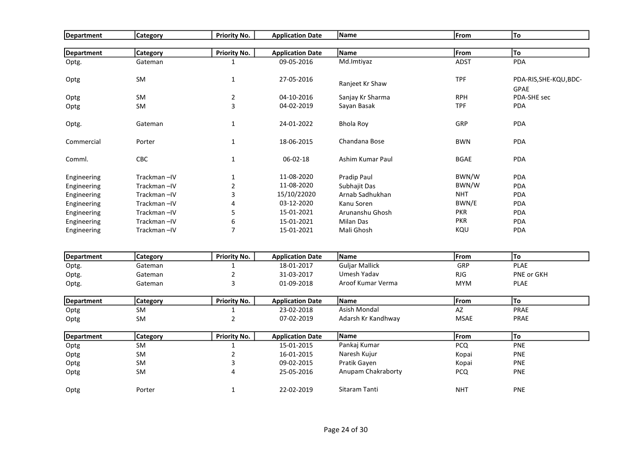| Department        | Category                   | <b>Priority No.</b>                 | <b>Application Date</b>               | Name                  | From        | To                     |
|-------------------|----------------------------|-------------------------------------|---------------------------------------|-----------------------|-------------|------------------------|
|                   |                            |                                     |                                       |                       |             |                        |
| Department        | <b>Category</b>            | <b>Priority No.</b>                 | <b>Application Date</b>               | Name                  | From        | To                     |
| Optg.             | Gateman                    | $\mathbf{1}$                        | 09-05-2016                            | Md.Imtiyaz            | <b>ADST</b> | PDA                    |
|                   |                            |                                     |                                       |                       |             |                        |
| Optg              | SM                         | $\mathbf{1}$                        | 27-05-2016                            | Ranjeet Kr Shaw       | <b>TPF</b>  | PDA-RIS, SHE-KQU, BDC- |
|                   |                            |                                     |                                       |                       |             | <b>GPAE</b>            |
| Optg              | SM                         | $\sqrt{2}$                          | 04-10-2016                            | Sanjay Kr Sharma      | <b>RPH</b>  | PDA-SHE sec            |
| Optg              | <b>SM</b>                  | $\overline{3}$                      | 04-02-2019                            | Sayan Basak           | <b>TPF</b>  | PDA                    |
| Optg.             | Gateman                    | $\mathbf{1}$                        | 24-01-2022                            | <b>Bhola Roy</b>      | GRP         | PDA                    |
|                   |                            |                                     |                                       |                       |             |                        |
| Commercial        | Porter                     | $\mathbf{1}$                        | 18-06-2015                            | Chandana Bose         | <b>BWN</b>  | <b>PDA</b>             |
|                   |                            |                                     |                                       |                       |             |                        |
| Comml.            | CBC                        | $\mathbf{1}$                        | 06-02-18                              | Ashim Kumar Paul      | <b>BGAE</b> | PDA                    |
| Engineering       | Trackman-IV                | 1                                   | 11-08-2020                            | Pradip Paul           | BWN/W       | PDA                    |
| Engineering       | Trackman-IV                | $\overline{2}$                      | 11-08-2020                            | Subhajit Das          | BWN/W       | PDA                    |
| Engineering       | Trackman-IV                | 3                                   | 15/10/22020                           | Arnab Sadhukhan       | <b>NHT</b>  | PDA                    |
| Engineering       | Trackman-IV                | 4                                   | 03-12-2020                            | Kanu Soren            | BWN/E       | PDA                    |
| Engineering       | Trackman-IV                | 5                                   | 15-01-2021                            | Arunanshu Ghosh       | <b>PKR</b>  | PDA                    |
| Engineering       | Trackman-IV                | 6                                   | 15-01-2021                            | Milan Das             | <b>PKR</b>  | PDA                    |
| Engineering       | Trackman-IV                | $\overline{7}$                      | 15-01-2021                            | Mali Ghosh            | KQU         | <b>PDA</b>             |
|                   |                            |                                     |                                       |                       |             |                        |
|                   |                            |                                     |                                       | Name                  |             | To                     |
| <b>Department</b> | <b>Category</b><br>Gateman | <b>Priority No.</b><br>$\mathbf{1}$ | <b>Application Date</b><br>18-01-2017 | <b>Guljar Mallick</b> | From<br>GRP | <b>PLAE</b>            |
| Optg.             | Gateman                    | $\overline{2}$                      | 31-03-2017                            | Umesh Yadav           | <b>RJG</b>  | PNE or GKH             |
| Optg.             | Gateman                    | 3                                   | 01-09-2018                            | Aroof Kumar Verma     | <b>MYM</b>  | <b>PLAE</b>            |
| Optg.             |                            |                                     |                                       |                       |             |                        |
| <b>Department</b> | Category                   | <b>Priority No.</b>                 | <b>Application Date</b>               | Name                  | From        | To                     |
| Optg              | SM                         | $\mathbf{1}$                        | 23-02-2018                            | <b>Asish Mondal</b>   | AZ          | PRAE                   |
| Optg              | SM                         | $\overline{2}$                      | 07-02-2019                            | Adarsh Kr Kandhway    | <b>MSAE</b> | PRAE                   |
| <b>Department</b> | Category                   | <b>Priority No.</b>                 | <b>Application Date</b>               | Name                  | From        | To                     |
| Optg              | <b>SM</b>                  | $\mathbf{1}$                        | 15-01-2015                            | Pankaj Kumar          | <b>PCQ</b>  | PNE                    |
| Optg              | SM                         | $\sqrt{2}$                          | 16-01-2015                            | Naresh Kujur          | Kopai       | <b>PNE</b>             |
| Optg              | SM                         | 3                                   | 09-02-2015                            | Pratik Gayen          | Kopai       | PNE                    |
| Optg              | SM                         | 4                                   | 25-05-2016                            | Anupam Chakraborty    | PCQ         | PNE                    |
|                   |                            |                                     |                                       |                       |             |                        |
| Optg              | Porter                     | $\mathbf{1}$                        | 22-02-2019                            | Sitaram Tanti         | <b>NHT</b>  | PNE                    |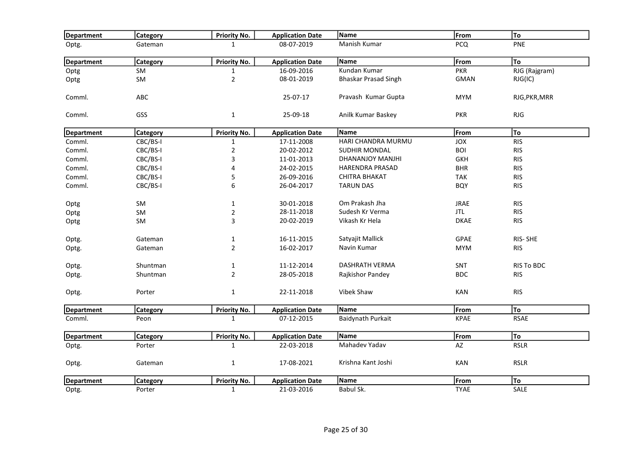| Department        | <b>Category</b> | <b>Priority No.</b> | <b>Application Date</b> | Name                        | From        | To                |
|-------------------|-----------------|---------------------|-------------------------|-----------------------------|-------------|-------------------|
| Optg.             | Gateman         | $\mathbf{1}$        | 08-07-2019              | Manish Kumar                | <b>PCQ</b>  | PNE               |
| Department        | <b>Category</b> | Priority No.        | <b>Application Date</b> | Name                        | From        | To                |
| Optg              | SM              | $\mathbf{1}$        | 16-09-2016              | Kundan Kumar                | <b>PKR</b>  | RJG (Rajgram)     |
| Optg              | SM              | $\overline{2}$      | 08-01-2019              | <b>Bhaskar Prasad Singh</b> | <b>GMAN</b> | RJG(IC)           |
| Comml.            | ABC             |                     | 25-07-17                | Pravash Kumar Gupta         | <b>MYM</b>  | RJG, PKR, MRR     |
| Comml.            | GSS             | $\mathbf 1$         | 25-09-18                | Anilk Kumar Baskey          | <b>PKR</b>  | RJG               |
| Department        | <b>Category</b> | <b>Priority No.</b> | <b>Application Date</b> | Name                        | From        | To                |
| Comml.            | CBC/BS-I        | $\mathbf{1}$        | 17-11-2008              | HARI CHANDRA MURMU          | <b>JOX</b>  | <b>RIS</b>        |
| Comml.            | CBC/BS-I        | $\mathbf 2$         | 20-02-2012              | SUDHIR MONDAL               | <b>BOI</b>  | <b>RIS</b>        |
| Comml.            | CBC/BS-I        | 3                   | 11-01-2013              | DHANANJOY MANJHI            | <b>GKH</b>  | <b>RIS</b>        |
| Comml.            | CBC/BS-I        | 4                   | 24-02-2015              | <b>HARENDRA PRASAD</b>      | <b>BHR</b>  | <b>RIS</b>        |
| Comml.            | CBC/BS-I        | 5                   | 26-09-2016              | <b>CHITRA BHAKAT</b>        | TAK         | <b>RIS</b>        |
| Comml.            | CBC/BS-I        | 6                   | 26-04-2017              | <b>TARUN DAS</b>            | <b>BQY</b>  | <b>RIS</b>        |
| Optg              | SM              | $\mathbf 1$         | 30-01-2018              | Om Prakash Jha              | <b>JRAE</b> | <b>RIS</b>        |
| Optg              | SM              | $\overline{2}$      | 28-11-2018              | Sudesh Kr Verma             | <b>JTL</b>  | <b>RIS</b>        |
| Optg              | SM              | 3                   | 20-02-2019              | Vikash Kr Hela              | <b>DKAE</b> | <b>RIS</b>        |
| Optg.             | Gateman         | $\mathbf{1}$        | 16-11-2015              | Satyajit Mallick            | GPAE        | RIS-SHE           |
| Optg.             | Gateman         | $\mathbf{2}$        | 16-02-2017              | Navin Kumar                 | <b>MYM</b>  | <b>RIS</b>        |
| Optg.             | Shuntman        | $\mathbf{1}$        | 11-12-2014              | DASHRATH VERMA              | SNT         | <b>RIS To BDC</b> |
| Optg.             | Shuntman        | $\overline{2}$      | 28-05-2018              | Rajkishor Pandey            | <b>BDC</b>  | <b>RIS</b>        |
| Optg.             | Porter          | $\mathbf 1$         | 22-11-2018              | Vibek Shaw                  | <b>KAN</b>  | <b>RIS</b>        |
| <b>Department</b> | <b>Category</b> | <b>Priority No.</b> | <b>Application Date</b> | Name                        | From        | To                |
| Comml.            | Peon            | $\mathbf{1}$        | 07-12-2015              | Baidynath Purkait           | <b>KPAE</b> | <b>RSAE</b>       |
| Department        | <b>Category</b> | <b>Priority No.</b> | <b>Application Date</b> | Name                        | From        | To                |
| Optg.             | Porter          | $\mathbf{1}$        | 22-03-2018              | Mahadev Yadav               | AZ          | <b>RSLR</b>       |
| Optg.             | Gateman         | $\mathbf{1}$        | 17-08-2021              | Krishna Kant Joshi          | KAN         | <b>RSLR</b>       |
| Department        | <b>Category</b> | <b>Priority No.</b> | <b>Application Date</b> | Name                        | From        | To                |
| Optg.             | Porter          | $\mathbf{1}$        | 21-03-2016              | Babul Sk.                   | <b>TYAE</b> | SALE              |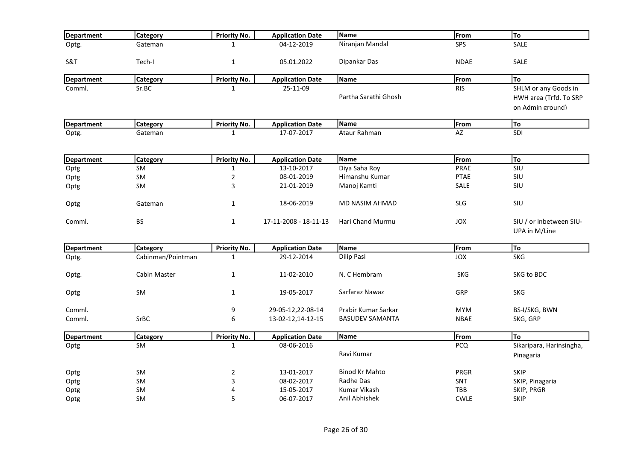| Department        | <b>Category</b>   | <b>Priority No.</b> | <b>Application Date</b> | Name                   | From        | To                                       |
|-------------------|-------------------|---------------------|-------------------------|------------------------|-------------|------------------------------------------|
| Optg.             | Gateman           | $\mathbf{1}$        | 04-12-2019              | Niranjan Mandal        | SPS         | SALE                                     |
| S&T               | Tech-I            | $\mathbf{1}$        | 05.01.2022              | Dipankar Das           | <b>NDAE</b> | SALE                                     |
| <b>Department</b> | Category          | <b>Priority No.</b> | <b>Application Date</b> | Name                   | From        | To                                       |
| Comml.            | Sr.BC             | $\mathbf{1}$        | 25-11-09                |                        | <b>RIS</b>  | SHLM or any Goods in                     |
|                   |                   |                     |                         | Partha Sarathi Ghosh   |             | HWH area (Trfd. To SRP                   |
|                   |                   |                     |                         |                        |             | on Admin ground)                         |
| Department        | Category          | <b>Priority No.</b> | <b>Application Date</b> | Name                   | From        | To                                       |
| Optg.             | Gateman           | $\mathbf{1}$        | 17-07-2017              | Ataur Rahman           | <b>AZ</b>   | SDI                                      |
|                   |                   |                     |                         |                        |             |                                          |
| Department        | Category          | <b>Priority No.</b> | <b>Application Date</b> | Name                   | From        | To                                       |
| Optg              | SM                | $\mathbf{1}$        | 13-10-2017              | Diya Saha Roy          | PRAE        | SIU                                      |
| Optg              | <b>SM</b>         | $\mathbf 2$         | 08-01-2019              | Himanshu Kumar         | <b>PTAE</b> | SIU                                      |
| Optg              | <b>SM</b>         | 3                   | 21-01-2019              | Manoj Kamti            | SALE        | SIU                                      |
| Optg              | Gateman           | 1                   | 18-06-2019              | MD NASIM AHMAD         | <b>SLG</b>  | SIU                                      |
| Comml.            | <b>BS</b>         | $\mathbf{1}$        | 17-11-2008 - 18-11-13   | Hari Chand Murmu       | <b>JOX</b>  | SIU / or inbetween SIU-<br>UPA in M/Line |
| Department        | <b>Category</b>   | Priority No.        | <b>Application Date</b> | <b>Name</b>            | From        | To                                       |
| Optg.             | Cabinman/Pointman | $\mathbf{1}$        | 29-12-2014              | Dilip Pasi             | JOX         | <b>SKG</b>                               |
| Optg.             | Cabin Master      | $\mathbf{1}$        | 11-02-2010              | N. C Hembram           | <b>SKG</b>  | SKG to BDC                               |
| Optg              | <b>SM</b>         | 1                   | 19-05-2017              | Sarfaraz Nawaz         | GRP         | <b>SKG</b>                               |
| Comml.            |                   | 9                   | 29-05-12,22-08-14       | Prabir Kumar Sarkar    | <b>MYM</b>  | BS-I/SKG, BWN                            |
| Comml.            | <b>SrBC</b>       | $\boldsymbol{6}$    | 13-02-12,14-12-15       | <b>BASUDEV SAMANTA</b> | <b>NBAE</b> | SKG, GRP                                 |
| <b>Department</b> | <b>Category</b>   | <b>Priority No.</b> | <b>Application Date</b> | Name                   | From        | lTo                                      |
| Optg              | <b>SM</b>         | $\mathbf{1}$        | 08-06-2016              |                        | <b>PCQ</b>  | Sikaripara, Harinsingha,                 |
|                   |                   |                     |                         | Ravi Kumar             |             | Pinagaria                                |
| Optg              | <b>SM</b>         | $\mathbf 2$         | 13-01-2017              | <b>Binod Kr Mahto</b>  | <b>PRGR</b> | SKIP                                     |
| Optg              | <b>SM</b>         | 3                   | 08-02-2017              | Radhe Das              | <b>SNT</b>  | SKIP, Pinagaria                          |
| Optg              | SM                | 4                   | 15-05-2017              | Kumar Vikash           | TBB         | SKIP, PRGR                               |
| Optg              | SM                | 5                   | 06-07-2017              | Anil Abhishek          | <b>CWLE</b> | <b>SKIP</b>                              |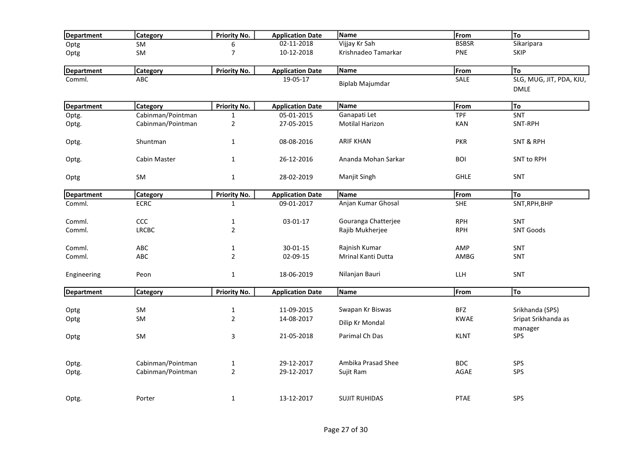| Department        | <b>Category</b>   | <b>Priority No.</b>            | <b>Application Date</b>  | Name                      | From                      | To                                     |
|-------------------|-------------------|--------------------------------|--------------------------|---------------------------|---------------------------|----------------------------------------|
| Optg              | <b>SM</b>         | 6                              | 02-11-2018               | Vijjay Kr Sah             | <b>BSBSR</b>              | Sikaripara                             |
| Optg              | SM                | $\overline{7}$                 | 10-12-2018               | Krishnadeo Tamarkar       | PNE                       | SKIP                                   |
| <b>Department</b> | <b>Category</b>   | <b>Priority No.</b>            | <b>Application Date</b>  | Name                      | From                      | To                                     |
| Comml.            | <b>ABC</b>        |                                | 19-05-17                 | Biplab Majumdar           | SALE                      | SLG, MUG, JIT, PDA, KJU,<br>DMLE       |
| Department        | <b>Category</b>   | <b>Priority No.</b>            | <b>Application Date</b>  | Name                      | From                      | To                                     |
| Optg.             | Cabinman/Pointman | $\mathbf{1}$                   | 05-01-2015               | Ganapati Let              | <b>TPF</b>                | SNT                                    |
| Optg.             | Cabinman/Pointman | $\overline{2}$                 | 27-05-2015               | <b>Motilal Harizon</b>    | <b>KAN</b>                | SNT-RPH                                |
| Optg.             | Shuntman          | $\mathbf{1}$                   | 08-08-2016               | <b>ARIF KHAN</b>          | <b>PKR</b>                | <b>SNT &amp; RPH</b>                   |
| Optg.             | Cabin Master      | $\mathbf{1}$                   | 26-12-2016               | Ananda Mohan Sarkar       | <b>BOI</b>                | SNT to RPH                             |
| Optg              | SM                | $\mathbf 1$                    | 28-02-2019               | Manjit Singh              | <b>GHLE</b>               | SNT                                    |
| Department        | Category          | <b>Priority No.</b>            | <b>Application Date</b>  | Name                      | From                      | To                                     |
| Comml.            | <b>ECRC</b>       | $\mathbf{1}$                   | 09-01-2017               | Anjan Kumar Ghosal        | <b>SHE</b>                | SNT, RPH, BHP                          |
| Comml.            | CCC               | $\mathbf 1$                    | 03-01-17                 | Gouranga Chatterjee       | <b>RPH</b>                | SNT                                    |
| Comml.            | <b>LRCBC</b>      | $\overline{2}$                 |                          | Rajib Mukherjee           | <b>RPH</b>                | <b>SNT Goods</b>                       |
| Comml.            | ABC               | $\mathbf{1}$                   | 30-01-15                 | Rajnish Kumar             | AMP                       | <b>SNT</b>                             |
| Comml.            | ABC               | $\overline{2}$                 | 02-09-15                 | <b>Mrinal Kanti Dutta</b> | AMBG                      | SNT                                    |
| Engineering       | Peon              | $\mathbf{1}$                   | 18-06-2019               | Nilanjan Bauri            | LLH                       | SNT                                    |
| <b>Department</b> | <b>Category</b>   | <b>Priority No.</b>            | <b>Application Date</b>  | <b>Name</b>               | From                      | To                                     |
|                   | SM                |                                |                          | Swapan Kr Biswas          |                           |                                        |
| Optg<br>Optg      | SM                | $\mathbf{1}$<br>$\overline{2}$ | 11-09-2015<br>14-08-2017 |                           | <b>BFZ</b><br><b>KWAE</b> | Srikhanda (SPS)<br>Sripat Srikhanda as |
|                   |                   |                                |                          | Dilip Kr Mondal           |                           | manager                                |
| Optg              | <b>SM</b>         | $\mathbf{3}$                   | 21-05-2018               | Parimal Ch Das            | <b>KLNT</b>               | SPS                                    |
| Optg.             | Cabinman/Pointman | $\mathbf 1$                    | 29-12-2017               | Ambika Prasad Shee        | <b>BDC</b>                | SPS                                    |
| Optg.             | Cabinman/Pointman | $\overline{2}$                 | 29-12-2017               | Sujit Ram                 | AGAE                      | SPS                                    |
|                   |                   |                                |                          |                           |                           |                                        |
| Optg.             | Porter            | $\mathbf{1}$                   | 13-12-2017               | <b>SUJIT RUHIDAS</b>      | <b>PTAE</b>               | SPS                                    |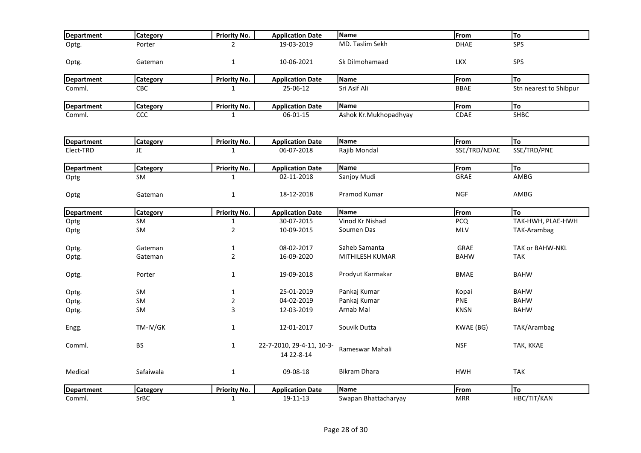| Department        | <b>Category</b> | Priority No.        | <b>Application Date</b>                 | Name                  | From         | To                     |
|-------------------|-----------------|---------------------|-----------------------------------------|-----------------------|--------------|------------------------|
| Optg.             | Porter          | 2                   | 19-03-2019                              | MD. Taslim Sekh       | <b>DHAE</b>  | SPS                    |
| Optg.             | Gateman         | $\mathbf 1$         | 10-06-2021                              | Sk Dilmohamaad        | <b>LKX</b>   | SPS                    |
| <b>Department</b> | <b>Category</b> | Priority No.        | <b>Application Date</b>                 | Name                  | From         | To                     |
| Comml.            | CBC             | $\mathbf{1}$        | 25-06-12                                | Sri Asif Ali          | <b>BBAE</b>  | Stn nearest to Shibpur |
| <b>Department</b> | Category        | <b>Priority No.</b> | <b>Application Date</b>                 | Name                  | From         | To                     |
| Comml.            | <b>CCC</b>      | $\mathbf{1}$        | 06-01-15                                | Ashok Kr.Mukhopadhyay | CDAE         | <b>SHBC</b>            |
| <b>Department</b> | <b>Category</b> | <b>Priority No.</b> | <b>Application Date</b>                 | Name                  | From         | To                     |
| Elect-TRD         | JE.             | $\mathbf{1}$        | 06-07-2018                              | Rajib Mondal          | SSE/TRD/NDAE | SSE/TRD/PNE            |
| <b>Department</b> | <b>Category</b> | Priority No.        | <b>Application Date</b>                 | Name                  | From         | To                     |
| Optg              | <b>SM</b>       | 1                   | $02 - 11 - 2018$                        | Sanjoy Mudi           | GRAE         | <b>AMBG</b>            |
| Optg              | Gateman         | $\mathbf{1}$        | 18-12-2018                              | Pramod Kumar          | <b>NGF</b>   | AMBG                   |
| Department        | Category        | Priority No.        | <b>Application Date</b>                 | Name                  | From         | <b>To</b>              |
| Optg              | <b>SM</b>       | $\mathbf{1}$        | 30-07-2015                              | Vinod Kr Nishad       | <b>PCQ</b>   | TAK-HWH, PLAE-HWH      |
| Optg              | <b>SM</b>       | $\overline{2}$      | 10-09-2015                              | Soumen Das            | MLV          | TAK-Arambag            |
| Optg.             | Gateman         | $\mathbf{1}$        | 08-02-2017                              | Saheb Samanta         | <b>GRAE</b>  | <b>TAK or BAHW-NKL</b> |
| Optg.             | Gateman         | $\overline{2}$      | 16-09-2020                              | MITHILESH KUMAR       | <b>BAHW</b>  | <b>TAK</b>             |
| Optg.             | Porter          | $\mathbf{1}$        | 19-09-2018                              | Prodyut Karmakar      | <b>BMAE</b>  | <b>BAHW</b>            |
| Optg.             | SM              | $\mathbf{1}$        | 25-01-2019                              | Pankaj Kumar          | Kopai        | <b>BAHW</b>            |
| Optg.             | SM              | $\overline{2}$      | 04-02-2019                              | Pankaj Kumar          | <b>PNE</b>   | <b>BAHW</b>            |
| Optg.             | SM.             | 3                   | 12-03-2019                              | Arnab Mal             | <b>KNSN</b>  | <b>BAHW</b>            |
| Engg.             | TM-IV/GK        | $\mathbf{1}$        | 12-01-2017                              | Souvik Dutta          | KWAE (BG)    | TAK/Arambag            |
| Comml.            | <b>BS</b>       | $\mathbf{1}$        | 22-7-2010, 29-4-11, 10-3-<br>14 22-8-14 | Rameswar Mahali       | <b>NSF</b>   | TAK, KKAE              |
| Medical           | Safaiwala       | $\mathbf{1}$        | 09-08-18                                | <b>Bikram Dhara</b>   | <b>HWH</b>   | <b>TAK</b>             |
| <b>Department</b> | <b>Category</b> | Priority No.        | <b>Application Date</b>                 | Name                  | From         | To                     |
| Comml.            | SrBC            | $\mathbf 1$         | 19-11-13                                | Swapan Bhattacharyay  | <b>MRR</b>   | HBC/TIT/KAN            |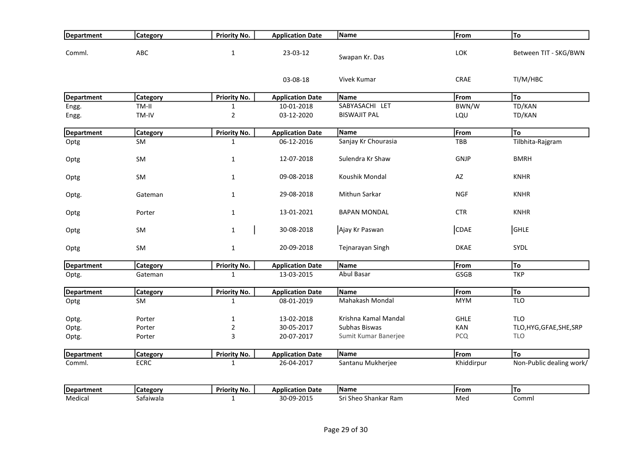| Department        | <b>Category</b> | <b>Priority No.</b> | <b>Application Date</b> | Name                 | From        | To                       |
|-------------------|-----------------|---------------------|-------------------------|----------------------|-------------|--------------------------|
| Comml.            | ABC             | $\mathbf{1}$        | 23-03-12                | Swapan Kr. Das       | LOK         | Between TIT - SKG/BWN    |
|                   |                 |                     | 03-08-18                | Vivek Kumar          | <b>CRAE</b> | TI/M/HBC                 |
| <b>Department</b> | <b>Category</b> | <b>Priority No.</b> | <b>Application Date</b> | <b>Name</b>          | From        | To                       |
| Engg.             | TM-II           | $\mathbf{1}$        | 10-01-2018              | SABYASACHI LET       | BWN/W       | TD/KAN                   |
| Engg.             | TM-IV           | $\overline{2}$      | 03-12-2020              | <b>BISWAJIT PAL</b>  | LQU         | TD/KAN                   |
| Department        | <b>Category</b> | Priority No.        | <b>Application Date</b> | Name                 | From        | To                       |
| Optg              | <b>SM</b>       | $\mathbf{1}$        | 06-12-2016              | Sanjay Kr Chourasia  | TBB         | Tilbhita-Rajgram         |
| Optg              | SM              | $\mathbf{1}$        | 12-07-2018              | Sulendra Kr Shaw     | <b>GNJP</b> | <b>BMRH</b>              |
| Optg              | SM              | $\mathbf{1}$        | 09-08-2018              | Koushik Mondal       | AZ          | <b>KNHR</b>              |
| Optg.             | Gateman         | $\mathbf{1}$        | 29-08-2018              | Mithun Sarkar        | <b>NGF</b>  | <b>KNHR</b>              |
| Optg              | Porter          | $\mathbf{1}$        | 13-01-2021              | <b>BAPAN MONDAL</b>  | <b>CTR</b>  | <b>KNHR</b>              |
| Optg              | SM              | $\mathbf{1}$        | 30-08-2018              | Ajay Kr Paswan       | <b>CDAE</b> | GHLE                     |
| Optg              | SM              | $\mathbf 1$         | 20-09-2018              | Tejnarayan Singh     | <b>DKAE</b> | <b>SYDL</b>              |
| <b>Department</b> | <b>Category</b> | Priority No.        | <b>Application Date</b> | Name                 | From        | To                       |
| Optg.             | Gateman         | $\mathbf{1}$        | 13-03-2015              | Abul Basar           | GSGB        | <b>TKP</b>               |
| Department        | <b>Category</b> | <b>Priority No.</b> | <b>Application Date</b> | Name                 | From        | To                       |
| Optg              | <b>SM</b>       | $\mathbf{1}$        | 08-01-2019              | Mahakash Mondal      | <b>MYM</b>  | <b>TLO</b>               |
| Optg.             | Porter          | $\mathbf{1}$        | 13-02-2018              | Krishna Kamal Mandal | <b>GHLE</b> | <b>TLO</b>               |
| Optg.             | Porter          | $\mathbf 2$         | 30-05-2017              | Subhas Biswas        | KAN         | TLO, HYG, GFAE, SHE, SRP |
| Optg.             | Porter          | 3                   | 20-07-2017              | Sumit Kumar Banerjee | <b>PCQ</b>  | <b>TLO</b>               |
| <b>Department</b> | <b>Category</b> | <b>Priority No.</b> | <b>Application Date</b> | Name                 | From        | To                       |
| Comml.            | <b>ECRC</b>     | $\mathbf{1}$        | 26-04-2017              | Santanu Mukherjee    | Khiddirpur  | Non-Public dealing work/ |
| <b>Department</b> | <b>Category</b> | Priority No.        | <b>Application Date</b> | <b>Name</b>          | From        | To                       |
| Medical           | Safaiwala       | $\mathbf{1}$        | 30-09-2015              | Sri Sheo Shankar Ram | Med         | Comml                    |